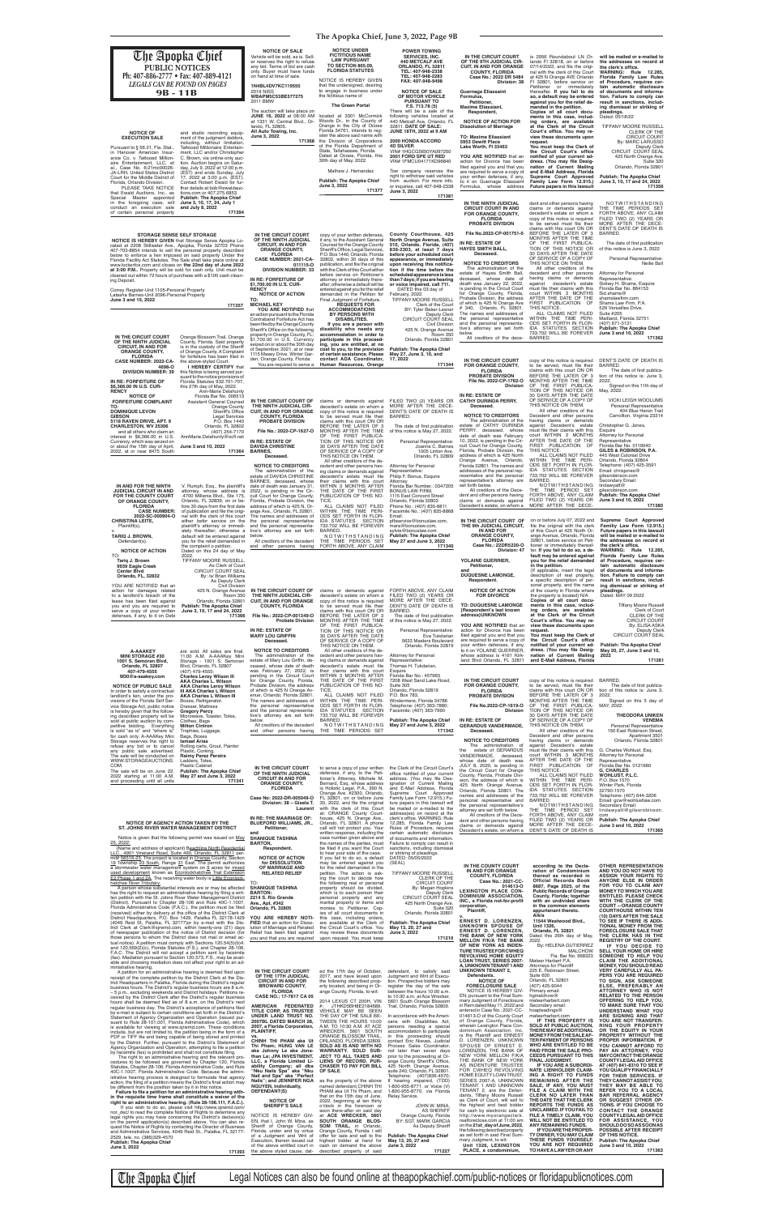**The Apopka Chief, June 3, 2022, Page 9B**

| The Apopka Chief<br>PUBLIC NOTICES<br>Ph: 407-886-2777 • Fax: 407-889-4121<br><b>LEGALS CAN BE FOUND ON PAGES</b><br>$9B - 11B$                                                                                                                                                                                                                                                                                                                                                                                                                                                                                       | <b>NOTICE OF SALE</b><br>Vehicle will be sold, as is. Sell-<br>er reserves the right to refuse<br>any bid. Terms of bid are cash<br>only. Buyer must have funds<br>on hand at time of sale.<br>1N4BL4DV7KC119555<br>2019 NISS<br><b>WBAPM5C53BE577275</b><br>2011 BMW                                        | <b>NOTICE UNDER</b><br><b>FICTITIOUS NAME</b><br><b>LAW PURSUANT</b><br><b>TO SECTION 865.09.</b><br><b>FLORIDA STATUTES</b><br>NOTICE IS HEREBY GIVEN<br>that the undersigned, desiring<br>to engage in business under<br>the fictitious name of                                                                                                 | <b>POWER TOWING</b><br><b>SERVICES, INC.</b><br><b>440 METCALF AVE</b><br>ORLANDO, FL 32811<br>TEL: 407-948-2338<br>TEL: 407-948-2283<br>FAX: 407-948-9498<br><b>NOTICE OF SALE</b><br>OF MOTOR VEHICLE<br><b>PURSUANT TO</b>                                                           | IN THE CIRCUIT COURT<br>OF THE 9TH JUDICIAL CIR-<br><b>CUIT. IN AND FOR ORANGE</b><br><b>COUNTY, FLORIDA</b><br>Case No.: 2022 DR 5484<br>Division: 38<br><b>Guernage Eliassaint</b><br>Formulus,<br>Petitioner,                                                                                   | is 2956 Roundabout LN Or-<br>lando FI 32818, on or before<br>07/14/2022, and file the origi-<br>nal with the clerk of this Court<br>at 425 N Orange AVE Orlando<br>FI 32801, before service on<br>Petitioner or immediately<br>thereafter. If you fail to do<br>so, a default may be entered<br>against you for the relief de-                     | will be mailed or e-mailed to<br>the addresses on record at<br>the clerk's office.<br>WARNING: Rule 12.285,<br>Florida Family Law Rules<br>of Procedure, requires cer-<br>tain automatic disclosure<br>of documents and informa-<br>tion. Failure to comply can<br>result in sanctions, includ- |
|-----------------------------------------------------------------------------------------------------------------------------------------------------------------------------------------------------------------------------------------------------------------------------------------------------------------------------------------------------------------------------------------------------------------------------------------------------------------------------------------------------------------------------------------------------------------------------------------------------------------------|--------------------------------------------------------------------------------------------------------------------------------------------------------------------------------------------------------------------------------------------------------------------------------------------------------------|---------------------------------------------------------------------------------------------------------------------------------------------------------------------------------------------------------------------------------------------------------------------------------------------------------------------------------------------------|-----------------------------------------------------------------------------------------------------------------------------------------------------------------------------------------------------------------------------------------------------------------------------------------|----------------------------------------------------------------------------------------------------------------------------------------------------------------------------------------------------------------------------------------------------------------------------------------------------|----------------------------------------------------------------------------------------------------------------------------------------------------------------------------------------------------------------------------------------------------------------------------------------------------------------------------------------------------|-------------------------------------------------------------------------------------------------------------------------------------------------------------------------------------------------------------------------------------------------------------------------------------------------|
| <b>NOTICE OF</b><br>and studio recording equip-<br><b>EXECUTION SALE</b><br>ment of the judgment debtors,<br>including, without limitation,<br>Tattooed Millionaire Entertain-<br>Pursuant to § 56.21, Fla. Stat.,<br>ment, LLC and/or Christopher<br>in Hanover American Insur-<br>ance Co. v. Tattooed Million-<br>C. Brown, via online-only auc-<br>aire Entertainment, LLC, et<br>tion. Auction begins on Satur-                                                                                                                                                                                                  | The auction will take place on<br>JUNE 16, 2022 at 08:00 AM<br>at 1331 W. Central Blvd., Or-<br>lando, FL 32805.<br>All Auto Towing, Inc.<br>June 3, 2022<br>171368                                                                                                                                          | <b>The Green Portal</b><br>located at 3301 McCormick<br>Woods Dr., in the County of<br>Orange in the City of Ocoee<br>Florida 34761, intends to req-<br>ister the above said name with<br>the Division of Corporations<br>of the Florida Department of<br>State, Tallahassee, Florida.<br>Dated at Ocoee, Florida, this<br>30th day of May, 2022. | F.S. 713.78 (5)<br>There will be a sale of the<br>following vehicles located at<br>440 Metcalf Ave, Orlando, FL<br>32811. DATE OF SALE:<br>JUNE 18TH, 2022 at 9 AM<br>2000 HONDA ACCORD<br><b>4D SILVER</b><br>VIN# 1HGCG5650YA097250<br>2001 FORD SPE UT RED<br>VIN# 1FMCU04171KD96840 | <b>Maxime Eliassiant,</b><br>Respondent,<br><b>NOTICE OF ACTION FOR</b><br><b>Dissolution of Marriage</b><br><b>TO: Maxime Eliassiant</b><br>5953 Dewitt Place<br>Lake Worth, FI 33463<br>YOU ARE NOTIFIED that an<br>action for Divorce has been                                                  | manded in the petition.<br>Copies of all court docu-<br>ments in this case, includ-<br>ing orders, are available<br>at the Clerk of the Circuit<br>Court's office. You may re-<br>view these documents upon<br>request.<br>You must keep the Clerk of<br>the Circuit Court's office<br>notified of your current ad-<br>dress. (You may file Desig- | ing dismissal or striking of<br>pleadings.<br>Dated: 05/18/22<br>TIFFANY MOORE RUSSELL<br>CLERK OF THE<br><b>CIRCUIT COURT</b><br>By: MARC LARUSSO<br><b>Deputy Clerk</b><br>CIRCUIT COURT SEAL<br>425 North Orange Ave.<br>Suite 320                                                           |
| al., Case No. 6:21mc00026-<br>day, July 9, 2022 at 12:00 p.m.<br>JA-LRH, United States District<br>(EST) and ends Sunday, July<br>17, 2022 at 3:00 p.m. (EST).<br>Court for the Middle District of<br>Contact Robert Ewald for fur-<br>Florida, Orlando Division.<br>PLEASE TAKE NOTICE<br>ther details at bob@ewaldauc-<br>tions.com or 407.275.6853.<br>that Ewald Auctions, Inc., as<br>Publish: The Apopka Chief<br>Special Master appointed                                                                                                                                                                      |                                                                                                                                                                                                                                                                                                              | Mathew J. Hernandez<br><b>Publish: The Apopka Chief</b><br>June 3, 2022<br>171377                                                                                                                                                                                                                                                                 | Tow company reserves the<br>right to withdraw said vehicles<br>from auction. For more info,<br>or inquiries, call 407-948-2338<br>June 3, 2022<br>171381                                                                                                                                | filed against you and that you<br>are required to serve a copy of<br>your written defenses, if any,<br>to it on Guernage Eliassaint<br>Formulus, whose address                                                                                                                                     | nation of Current Mailing<br>and E-Mail Address, Florida<br>Supreme Court Approved<br>Family Law Form 12.915.)<br>Future papers in this lawsuit                                                                                                                                                                                                    | Orlando, Florida 32801<br><b>Publish: The Apopka Chief</b><br>June 3, 10, 17 and 24, 2022<br>171356                                                                                                                                                                                             |
| June 3, 10, 17, 24, July 1<br>in the foregoing case, will<br>conduct an execution sale<br>and July 8, 2022<br>of certain personal property<br>171394<br><b>STORAGE SENSE SELF STORAGE</b>                                                                                                                                                                                                                                                                                                                                                                                                                             | IN THE CIRCUIT COURT                                                                                                                                                                                                                                                                                         | copy of your written defenses,                                                                                                                                                                                                                                                                                                                    | County Courthouse, 425                                                                                                                                                                                                                                                                  | IN THE NINTH JUDICIAL<br><b>CIRCUIT COURT IN AND</b><br>FOR ORANGE COUNTY,<br><b>FLORIDA</b><br>PROBATE DIVISION<br>File No.2022-CP-001751-0                                                                                                                                                       | dent and other persons having<br>claims or demands against<br>decedent's estate on whom a<br>copy of this notice is required<br>to be served must file their<br>claims with this court ON OR<br>BEFORE THE LATER OF 3<br>MONTHS AFTER THE TIME                                                                                                     | NOTWITHSTANDING<br>THE TIME PERIODS SET<br>FORTH ABOVE, ANY CLAIM<br>FILED TWO (2) YEARS OR<br>MORE AFTER THE DECE-<br>DENT'S DATE OF DEATH IS<br>BARRED.                                                                                                                                       |
| NOTICE IS HEREBY GIVEN that Storage Sense Apopka Lo-<br>cated at 2208 Stillwater Ave., Apopka, Florida 32703 Phone<br>407-703-8854 intends to sell the personal property described<br>below to enforce a lien imposed on said property Under the<br>Florida Facility Act Statutes. The Sale shall take place online at<br>www.lockerfox.com and closes on the 22nd day of June 2022<br>at 3:00 P.M Property will be sold for cash only. Unit must be<br>cleaned out within 72 hours of purchase with a \$100 cash clean-                                                                                              | OF THE NINTH JUDICIAL<br><b>CIRCUIT, IN AND FOR</b><br><b>ORANGE COUNTY,</b><br><b>FLORIDA</b><br>CASE NUMBER: 2021-CA-<br>011115-0<br><b>DIVISION NUMBER: 33</b>                                                                                                                                            | if any, to the Assistant General<br>Counsel for the Orange County<br>Sheriff's Office, Legal Services,<br>P.O. Box 1440, Orlando, Florida<br>32802, within 30 days of this<br>publication, and file the original<br>with the Clerk of this Court either<br>before service on Petitioner's                                                         | North Orange Avenue, Suite<br>510, Orlando, Florida, (407)<br>836-2303, at least 7 days<br>before your scheduled court<br>appearance, or immediately<br>upon receiving this notifica-<br>tion if the time before the<br>scheduled appearance is less                                    | IN RE: ESTATE OF<br><b>HAYES SMITH BALL,</b><br>Deceased.<br><b>NOTICE TO CREDITORS</b><br>The administration of the<br>estate of Hayes Smith Ball,<br>deceased, whose date of                                                                                                                     | OF THE FIRST PUBLICA-<br>TION OF THIS NOTICE OR<br>30 DAYS AFTER THE DATE<br>OF SERVICE OF A COPY OF<br>THIS NOTICE ON THEM.<br>All other creditors of the<br>decedent and other persons<br>having claims or demands                                                                                                                               | The date of first publication<br>of this notice is June 3, 2022<br>Personal Representative:<br><b>Neilie Ball</b><br><b>Attorney for Personal</b>                                                                                                                                               |
| ing Deposit.<br>Correy Register-Unit 1105-Personal Property<br>Latasha Barnes-Unit 2096-Personal Property<br>June 3 and 10, 2022<br>171357                                                                                                                                                                                                                                                                                                                                                                                                                                                                            | IN RE: FORFEITURE OF<br>\$1,700.00 IN U.S. CUR-<br><b>RENCY</b><br><b>NOTICE OF ACTION</b><br>TO:<br><b>MICHAEL KEY</b><br>YOU ARE NOTIFIED that<br>an action pursuant to the Florida                                                                                                                        | attorney or immediately there-<br>after; otherwise a default will be<br>entered against you for the relief<br>demanded in the Petition for<br>Final Judgment of Forfeiture.<br><b>REQUESTS FOR</b><br><b>ACCOMMODATIONS</b><br><b>BY PERSONS WITH</b>                                                                                             | than 7 days; if you are hearing<br>or voice impaired, call 711.<br>DATED this 03 day of<br>February, 2022.<br><b>TIFFANY MOORE RUSSELL</b><br>Clerk of the Court<br>BY: Tyler Baker-Lesner<br>Deputy Clerk                                                                              | death was January 22, 2022,<br>is pending in the Circuit Court<br>for Orange County, Florida,<br>Probate Division, the address<br>of which is 425 N Orange Ave<br># 340, Orlando, FL 32801.<br>The names and addresses of<br>the personal representative                                           | against decedent's estate<br>must file their claims with this<br>court WITHIN 3 MONTHS<br>AFTER THE DATE OF THE<br>FIRST PUBLICATION OF<br>THIS NOTICE.<br>ALL CLAIMS NOT FILED<br>WITHIN THE TIME PERI-                                                                                                                                           | Representative:<br>Sidney H. Shams, Esquire<br>Florida Bar No. 864153<br>Sid.shams@<br>shamslawfirm.com<br>Shams Law Firm, P.A.<br>529 Versailles Drive,<br>Suite #205<br>Maitland, Florida 32751                                                                                               |
| IN THE CIRCUIT COURT<br>Orange Blossom Trail, Orange<br>OF THE NINTH JUDICIAL<br>County, Florida. Said property<br><b>CIRCUIT, IN AND FOR</b><br>is in the custody of the Sheriff<br><b>ORANGE COUNTY,</b><br>of Orange County. A Complaint<br><b>FLORIDA</b><br>for forfeiture has been filed in                                                                                                                                                                                                                                                                                                                     | Contraband Forfeiture Act has<br>been filed by the Orange County<br>Sheriff's Office on the following<br>property in Orange County, FL:<br>\$1,700.00 in U.S. Currency<br>seized on or about the 30th day<br>of September, 2021, at or near<br>1115 Maxey Drive, Winter Gar-<br>den, Orange County, Florida. | <b>DISABILITIES.</b><br>If you are a person with<br>disability who needs any<br>accommodation in order to<br>participate in this proceed-<br>ing, you are entitled, at no<br>cost to you, to the provision<br>of certain assistance. Please<br>contact ADA Coordinator,                                                                           | CIRCUIT COURT SEAL<br>Civil Division<br>425 N. Orange Avenue<br>Room 350<br>Orlando, Florida 32801<br><b>Publish: The Apopka Chief</b><br>May 27, June 3, 10, and<br>17, 2022                                                                                                           | and the personal representa-<br>tive's attorney are set forth<br>below.<br>All creditors of the dece-                                                                                                                                                                                              | ODS SET FORTH IN FLOR-<br>IDA STATUTES SECTION<br>733.702 WILL BE FOREVER<br>BARRED.                                                                                                                                                                                                                                                               | (407) 671-3131<br><b>Publish: The Apopka Chief</b><br>June 3 and 10, 2022<br>171362                                                                                                                                                                                                             |
| CASE NUMBER: 2022-CA-<br>the above-styled Court<br>I HEREBY CERTIFY that<br>4698-O<br><b>DIVISION NUMBER: 39</b><br>this Notice is being served pur-<br>suant to the notice provisions of<br>IN RE: FORFEITURE OF<br>Florida Statutes 932.701-707,<br>\$6,366.00 IN U.S. CUR-<br>this 27th day of May, 2022.<br><b>RENCY</b><br>Ann-Marie Delahunty<br><b>NOTICE OF</b><br>Florida Bar No. 006513                                                                                                                                                                                                                     | You are required to serve a                                                                                                                                                                                                                                                                                  | Human Resources, Orange                                                                                                                                                                                                                                                                                                                           | 171344                                                                                                                                                                                                                                                                                  | IN THE CIRCUIT COURT<br>FOR ORANGE COUNTY,<br><b>FLORIDA</b><br><b>PROBATE DIVISION</b><br>File No. 2022-CP-1762-O<br>Division<br>IN RE: ESTATE OF                                                                                                                                                 | copy of this notice is required<br>to be served, must file their<br>claims with this court ON OR<br>BEFORE THE LATER OF 3<br>MONTHS AFTER THE TIME<br>OF THE FIRST PUBLICA-<br>TION OF THIS NOTICE OR<br>30 DAYS AFTER THE DATE                                                                                                                    | DENT'S DATE OF DEATH IS<br>BARRED.<br>The date of first publica-<br>tion of this notice is: June 3,<br>2022.<br>Signed on this 11th day of<br>May, 2022.                                                                                                                                        |
| <b>FORFEITURE COMPLAINT</b><br><b>Assistant General Counsel</b><br><b>Orange County</b><br>TO:<br><b>DOMINIQUE LEVON</b><br><b>Sheriff's Office</b><br><b>GIBSON</b><br><b>Legal Services</b><br>P.O. Box 1440<br>5118 RAVEN DRIVE, APT. 9<br><b>CHARLESTON, WV 25306</b><br>Orlando, FL 32802<br>(407) 254-7170<br>and all others who claim an<br>AnnMarie.Delahunty@ocfl.net<br>interest in \$6.366.00 in U.S.                                                                                                                                                                                                      | IN THE CIRCUIT COURT OF<br>THE NINTH JUDICIAL CIR-<br><b>CUIT, IN AND FOR ORANGE</b><br><b>COUNTY, FLORIDA</b><br><b>PROBATE DIVISION</b><br>File No.: 2022-CP-1627-O                                                                                                                                        | claims or demands against<br>decedent's estate on whom a<br>copy of this notice is required<br>to be served must file their<br>claims with this court ON OR<br>BEFORE THE LATER OF 3<br>MONTHS AFTER THE TIME<br>OF THE FIRST PUBLICA-                                                                                                            | FILED TWO (2) YEARS OR<br>MORE AFTER THE DECE-<br>DENT'S DATE OF DEATH IS<br>BARRED.<br>The date of first publication<br>of this notice is May 27, 2022.                                                                                                                                | <b>CATHY DURINDA PERRY,</b><br>Deceased.<br><b>NOTICE TO CREDITORS</b><br>The administration of the<br>estate of CATHY DURINDA<br>PERRY, deceased, whose<br>date of death was February                                                                                                             | OF SERVICE OF A COPY OF<br>THIS NOTICE ON THEM.<br>All other creditors of the<br>Decedent and other persons<br>having claims or demands<br>against Decedent's estate<br>must file their claims with this<br>court WITHIN 3 MONTHS<br>AFTER THE DATE OF THE                                                                                         | <b>VICKI LEIGH WOOLUMS</b><br>Personal Representative<br>404 Blue Heron Trail<br>Carrollton, Virginia 23314<br>Christopher G. Jones,<br>Esquire<br>Attorney for Personal                                                                                                                        |
| Currency, which was seized on<br>or about the 15th day of April,<br>June 3 and 10, 2022<br>2022, at or near 8475 South<br>171364                                                                                                                                                                                                                                                                                                                                                                                                                                                                                      | IN RE: ESTATE OF<br><b>DAVIDA CHRISTINE</b><br><b>BARNES,</b><br>Deceased.<br><b>NOTICE TO CREDITORS</b><br>The administration of the<br>estate of DAVIDA CHRISTINE<br>BARNES, deceased, whose                                                                                                               | TION OF THIS NOTICE OR<br>30 DAYS AFTER THE DATE<br>OF SERVICE OF A COPY OF<br>THIS NOTICE ON THEM.<br>All other creditors of the de-<br>cedent and other persons hav-<br>ing claims or demands against<br>decedent's estate must file<br>their claims with this court                                                                            | Personal Representative:<br>Joanne C. Barnes<br>1005 Linton Ave.<br>Orlando, FL 32809<br>Attorney for Personal<br>Representative:<br>Philip F. Bonus, Esquire                                                                                                                           | 10, 2022, is pending in the Cir-<br>cuit Court for Orange County,<br>Florida. Probate Division, the<br>address of which is 425 North<br>Orange Avenue, Orlando,<br>Florida 32801. The names and<br>addresses of the personal rep-<br>resentative and the personal<br>representative's attorney are | FIRST PUBLICATION OF<br>THIS NOTICE.<br>ALL CLAIMS NOT FILED<br>WITHIN THE TIME PERI-<br>ODS SET FORTH IN FLOR-<br>IDA STATUTES SECTION<br>733.702 WILL BE FOREVER<br>BARRED.                                                                                                                                                                      | Representative<br>Florida Bar No. 0119040<br>GILES & ROBINSON, P.A.<br>445 West Colonial Drive<br>Orlando, Florida 32804<br>Telephone: (407) 425-3591<br>Email: chrisjones@<br>gilesrobinson.com<br>Secondary Email:                                                                            |
| IN AND FOR THE NINTH<br>V. Rumph, Esq., the plaintiff's<br>JUDICIAL CIRCUIT IN AND<br>attorney, whose address is<br>FOR THE COUNTY COURT<br>.4700 Millenia Blvd., Ste 175,<br>OF ORANGE COUNTY,<br>Orlando, FL 32839, on or be-<br><b>FLORIDA</b><br>fore 30 days from the first date<br>of publication and file the origi-<br><b>CASE NUMBER:</b><br>2022-SC-000904-O<br>nal with the clerk of this court<br><b>CHRISTINA LEITE,</b>                                                                                                                                                                                 | date of death was January 31,<br>2022, is pending in the Cir-<br>cuit Court for Orange County,<br>Florida, Probate Division, the<br>address of which is 425 N. Or-<br>ange Ave., Orlando, FL 32801.<br>The names and addresses of<br>either befor service on the the personal representative                 | WITHIN 3 MONTHS AFTER<br>THE DATE OF THE FIRST<br>PUBLICATION OF THIS NO-<br>TICE.<br>ALL CLAIMS NOT FILED<br>WITHIN THE TIME PERI-<br>ODS SET FORTH IN FLOR-<br>IDA STATUTES SECTION                                                                                                                                                             | Attorney<br>Florida Bar Number.: 0347205<br><b>BONUS LAW FIRM,</b><br>1115 East Concord Street<br>Orlando, Florida 32803<br>Phone No.: (407) 835-8811<br>Facsimile No.: (407) 835-8868<br>Email:<br>pfbservice@bonuslaw.com,                                                            | set forth below.<br>All creditors of the Dece-<br>dent and other persons having<br>claims or demands against<br>Decedent's estate, on whom a<br>IN THE CIRCUIT COURT OF                                                                                                                            | NOTWITHSTANDING<br>THE TIME PERIOD SET<br>FORTH ABOVE, ANY CLAIM<br>FILED TWO (2) YEARS OR<br>MORE AFTER THE DECE-<br>on or before July 07, 2022 and                                                                                                                                                                                               | lindawyatt@<br>gilesrobinson.com<br><b>Publish: The Apopka Chief</b><br>June 3 and 10, 2022<br>171380<br>Supreme Court Approved                                                                                                                                                                 |
| plaintiff's attorney or immedi-<br>Plaintiff(s),<br>ately thereafter; otherwise a<br>TARIQ J. BROWN,<br>default will be entered against<br>you for the relief demanded in<br>Defendant(s).<br>the complaint o petition.<br><b>NOTICE OF ACTION</b><br>Dated on this 24 day of May<br>TO:<br>2022.<br>TIFFANY MOORE RUSSELL<br>Tariq J. Brown                                                                                                                                                                                                                                                                          | and the personal representa-<br>tive's attorney are set forth<br>below.<br>All creditors of the decedent<br>and other persons having                                                                                                                                                                         | 733.702 WILL BE FOREVER<br>BARRED.<br>NOTWITHSTANDING<br>THE TIME PERIODS SET<br>FORTH ABOVE, ANY CLAIM                                                                                                                                                                                                                                           | mara@bonuslaw.com,<br>sylvie@bonuslaw.com<br><b>Publish: The Apopka Chief</b><br>May 27 and June 3, 2022<br>171340                                                                                                                                                                      | THE 9th JUDICIAL CIRCUIT,<br>IN AND FOR<br><b>ORANGE COUNTY,</b><br><b>FLORIDA</b><br>Case No.: 22DR5220-O<br>Division: 47<br>YOLAINE GUERRIER,                                                                                                                                                    | file the original with the clerk<br>of this Court at 425 North Or-<br>ange Avenue, Orlando, Florida<br>32801, before service on Peti-<br>tioner or immediately thereaf-<br>ter. If you fail to do so, a de-<br>fault may be entered against<br>you for the relief demanded                                                                         | Familiy Law Form 12.915.)<br>Future papers in this lawsuit<br>will be mailed or e-mailed to<br>the addresses on record at<br>the clerk's office.<br><b>WARNING: Rule 12.285,</b><br>Florida Family Law Rules<br>of Procedure, requires cer-                                                     |
| 9939 Eagle Creek<br>As Clerk of Court<br>CIRCUIT COURT SEAL<br><b>Center Blvd</b><br>Orlando, FL, 32832<br>By: /s/ Brian Williams<br>As Deputy Clerk<br>YOU ARE NOTIFIED that an<br>Civil Division<br>action for damages related<br>425 N. Orange Avenue<br>to a landlord's breach of the<br>Room 350<br>lease has been filed against<br>Orlando, Florida 32801                                                                                                                                                                                                                                                       | IN THE CIRCUIT COURT OF<br>THE NINTH JUDICIAL CIR-<br><b>CUIT, IN AND FOR ORANGE</b>                                                                                                                                                                                                                         | claims or demands against<br>decedent's estate on whom a<br>copy of this notice is required                                                                                                                                                                                                                                                       | FORTH ABOVE, ANY CLAIM<br>FILED TWO (2) YEARS OR<br>MORE AFTER THE DECE-                                                                                                                                                                                                                | Petitioner,<br>and<br><b>DUQUESNE LAMONGE,</b><br>Respondent.<br><b>NOTICE OF ACTION</b><br><b>FOR DIVORCE</b>                                                                                                                                                                                     | in the petition.<br>{If applicable, insert the legal<br>description of real property,<br>a specific description of per-<br>sonal property, and the name<br>of the county in Florida where<br>the property is located N/A<br>Copies of all court docu-                                                                                              | tain automatic disclosure<br>of documents and informa-<br>tion. Failure to comply can<br>result in sanctions, includ-<br>ing dismissal or striking of<br>pleadings.<br>Dated: MAY 09 2022                                                                                                       |
| you and you are required to<br><b>Publish: The Apopka Chief</b><br>serve a copy of your written<br>June 3, 10, 17 and 24, 2022<br>defenses, if any, to it on Debi<br>171366                                                                                                                                                                                                                                                                                                                                                                                                                                           | <b>COUNTY, FLORIDA</b><br>File No.: 2022-CP-001349-O<br><b>Probate Division</b><br>IN RE: ESTATE OF<br><b>MARY LOU GRIFFIN</b><br>Deceased.                                                                                                                                                                  | to be served must file their<br>claims with this court ON OR<br>BEFORE THE LATER OF 3<br>MONTHS AFTER THE TIME<br>OF THE FIRST PUBLICA-<br>TION OF THIS NOTICE OR<br>30 DAYS AFTER THE DATE<br>OF SERVICE OF A COPY OF                                                                                                                            | DENT'S DATE OF DEATH IS<br>BARRED.<br>The date of first publication<br>of this notice is May 27, 2022.<br>Personal Representative:<br>Eva Tukdarian<br>5633 Masters Boulevard                                                                                                           | <b>TO: DUQUESNE LAMONGE</b><br>{Respondent's last known<br>address}UNKNOWN<br>YOU ARE NOTIFIED that an<br>action for Divorce has been<br>filed against you and that you<br>are required to serve a copy of                                                                                         | ments in this case, includ-<br>ing orders, are available<br>at the Clerk of the Circuit<br>Court's office. You may re-<br>view these documents upon<br>request.<br>You must keep the Clerk of<br>the Circuit Court's office                                                                                                                        | <b>Tiffany Moore Russell</b><br>Clerk of Court<br><b>CLERK OF THE</b><br><b>CIRCUIT COURT</b><br>By: ELISA ASKA<br>Deputy Clerk<br>CIRCUIT COURT SEAL                                                                                                                                           |
| <b>A-AAAKEY</b><br>are sold. All sales are final.<br><b>MINI STORAGE #30</b><br>11:00 A.M. A-AAAKey Mini<br>Storage - 1001 S. Semoran<br>1001 S. Semoran Blvd.<br>Blvd, Orlando, FL 32807<br>Orlando, FL 32807<br>407-479-4555<br>(407) 479-4555:<br>M30@a-aaakey.com<br><b>Charles Leroy Wilson III</b><br><b>AKA Charles L. Wilson</b><br><b>NOTICE OF PUBLIC SALE</b><br><b>AKA Charles Leroy Wilson</b>                                                                                                                                                                                                           | <b>NOTICE TO CREDITORS</b><br>The administration of the<br>estate of Mary Lou Griffin, de-<br>ceased, whose date of death<br>was February 27, 2022, is<br>pending in the Circuit Court<br>for Orange County, Florida,<br>Probate Division, the address                                                       | THIS NOTICE ON THEM.<br>All other creditors of the de-<br>cedent and other persons hav-<br>ing claims or demands against<br>decedent's estate must file<br>their claims with this court<br>WITHIN 3 MONTHS AFTER<br>THE DATE OF THE FIRST<br>PUBLICATION OF THIS NO-                                                                              | Orlando, Florida 32819<br><b>Attorney for Personal</b><br>Representative:<br>Thomas H. Tukdarian.<br>Esquire<br>Florida Bar No.: 457965<br>7208 West Sand Lake Road,<br>Suite 305                                                                                                       | your written defenses, if any,<br>to it on YOLAINE GUERRIER.<br>whose address is 4161 Kirk-<br>land Blvd Orlando, FL 32811<br>IN THE CIRCUIT COURT<br>FOR ORANGE COUNTY,                                                                                                                           | notified of your current ad-<br>dress. (You may file Desig-<br>nation of Current Mailing<br>and E-Mail Address, Florida<br>copy of this notice is required<br>to be served, must file their                                                                                                                                                        | <b>Publish: The Apopka Chief</b><br>May 20, 27, June 3 and 10,<br>2022<br>171261<br><b>BARRED</b><br>The date of first publica-                                                                                                                                                                 |
| III AKA Charles L Wilson<br>In order to satisfy a contractual<br><b>AKA Charles L Wilson III</b><br>landlord's lien, under the pro-<br>visions of the Florida Self Ser-<br>Boxes, Refrigerator,<br>vice Storage Act, public notice<br>Dresser, Mattress<br><b>Gregory Percy</b><br>is hereby given that the follow-<br>Microwave, Toaster, Totes,<br>ing described property will be<br>sold at public auction by com-<br>Clothes, Bags<br>petitive bidding. Everything<br><b>Milton Cintron</b>                                                                                                                       | of which is 425 N Orange Av-<br>enue, Orlando, Florida 32801.<br>The names and addresses of<br>the personal representative<br>and the personal representa-<br>tive's attorney are set forth<br>below.<br>All creditors of the decedent                                                                       | TICE.<br>ALL CLAIMS NOT FILED<br>WITHIN THE TIME PERI-<br>ODS SET FORTH IN FLOR-<br>IDA STATUTES SECTION<br>733.702 WILL BE FOREVER<br>BARRED.<br>NOTWITHSTANDING                                                                                                                                                                                 | Orlando, Florida 32819<br>P.O. Box 783,<br>Windermere, Florida 34786<br>Telephone: (407) 363-7880;<br>Facsimile: (407) 363-7990<br><b>Publish: The Apopka Chief</b><br>May 27 and June 3, 2022                                                                                          | <b>FLORIDA</b><br>PROBATE DIVISION<br>File No.2022-CP-1619-O<br><b>Division</b><br>IN RE: ESTATE OF<br><b>GERARDUS VANDERMADE.</b>                                                                                                                                                                 | claims with this court ON OR<br>BEFORE THE LATER OF 3<br>MONTHS AFTER THE TIME<br>OF THE FIRST PUBLICA-<br>TION OF THIS NOTICE OR<br>30 DAYS AFTER THE DATE<br>OF SERVICE OF A COPY OF<br>THIS NOTICE ON THEM.                                                                                                                                     | tion of this notice is: June 3,<br>2022.<br>Signed on this 5 day of<br>MAY, 2022.<br><b>THEODORA UNIKEN</b><br><b>VENEMA</b><br>Personal Representative                                                                                                                                         |
| is sold "as is" and "where is"<br>Trophies, Luggage,<br>for cash only. A-AAAKey Mini<br>Bags, Boxes<br>Storage reserves the right to<br><b>Ismael Arias</b><br>refuse any bid or to cancel<br>Rolling carts, Grout, Painter<br>any public sale advertised.<br>Plastic, Corking,<br>Raimy Perez Pereira<br>The sale will be conducted on<br>WWW.STORAGEAUCTIONS.<br>Ladders, Totes,<br>COM.<br><b>Plastic Cabinet</b>                                                                                                                                                                                                  | and other persons having<br>IN THE CIRCUIT COURT                                                                                                                                                                                                                                                             | THE TIME PERIODS SET                                                                                                                                                                                                                                                                                                                              | 171342<br>the Clerk of the Circuit Court's                                                                                                                                                                                                                                              | Deceased.<br><b>NOTICE TO CREDITORS</b><br>The administration of<br>estate of GERARDUS<br>the<br>VANDERMADE.<br>deceased,<br>whose date of death was<br>JULY 8, 2020, is pending in                                                                                                                | All other creditors of the<br>Decedent and other persons<br>having claims or demands<br>against Decedent's estate<br>must file their claims with this<br>court WITHIN 3 MONTHS<br>AFTER THE DATE OF THE<br>FIRST PUBLICATION OF                                                                                                                    | 150 East Robinson Street<br>Apartment 3501<br>Orlando, Florida 32801<br>G. Charles Wohlust, Esg.<br>Attorney for Personal<br>Representative<br>Florida Bar No. 0121660                                                                                                                          |
| The sale will be on June 22,<br><b>Publish: The Apopka Chief</b><br>2022 starting at 11:00 A.M.<br>May 27 and June 3, 2022<br>and proceeding until all units<br>171341                                                                                                                                                                                                                                                                                                                                                                                                                                                | OF THE NINTH JUDICIAL<br><b>CIRCUIT IN AND FOR</b><br><b>ORANGE COUNTY,</b><br><b>FLORIDA</b><br>Case No: 2022-DR-005049-O<br>Division: 38 – Gisela T.<br>Laurent                                                                                                                                            | to serve a copy of your written<br>defenses, if any, to the Peti-<br>tioner's Attorney, Michele M.<br>Bernard, Esq. whose address<br>is Holistic Legal, P.A., 390 N.<br>Orange Ave. #2300, Orlando,<br>FL 32801, on or before June<br>30, 2022, and file the original<br>with the clerk of this Court                                             | office notified of your current<br>address. (You may file Des-<br>ignation of Current Mailing<br>and E-Mail Address, Florida<br>Supreme Court Approved<br>Family Law Form 12.915.) Fu-<br>ture papers in this lawsuit will<br>be mailed or e-mailed to the                              | the Circuit Court for Orange<br>County, Florida, Probate Divi-<br>sion, the address of which is<br>425 North Orange Avenue,<br>Orlando, Florida 32801. The<br>names and addresses of the<br>personal representative and<br>the personal representative's                                           | THIS NOTICE.<br>ALL CLAIMS NOT FILED<br>WITHIN THE TIME PERI-<br>ODS SET FORTH IN FLOR-<br>IDA STATUTES SECTION<br>733.702 WILL BE FOREVER<br>BARRED.<br>NOTWITHSTANDING                                                                                                                                                                           | <b>G. CHARLES</b><br>WOHLUST, P.L.C.<br>P.O. Box 1570<br>Winter Park, Florida<br>32790-1570<br>Telephone: (407) 644-3206<br>Email: gcw@wohlustlaw.com<br>Secondary Email:                                                                                                                       |
| NOTICE OF AGENCY ACTION TAKEN BY THE<br>ST. JOHNS RIVER WATER MANAGEMENT DISTRICT<br>Notice is given that the following permit was issued on May<br>25, 2022:<br>(Name and address of applicant) Beachline North Residential                                                                                                                                                                                                                                                                                                                                                                                          | IN RE: THE MAARIAGE OF:<br><b>BLUEFORD WILLIAMS, JR.,</b><br>Petitioner,<br>and<br><b>SHANIQUE TASHINA</b><br><b>BARTON,</b><br>Respondent.                                                                                                                                                                  | at: ORANGE County Court-<br>house, 425 N. Orange Ave.,<br>Orlando, FL 32801. A phone<br>call will not protect you. Your<br>written response, including the<br>case number given above and<br>the names of the parties, must<br>be filed if you want the Court                                                                                     | address(es) on record at the<br>clerk's office. WARNING: Rule<br>12.285, Florida Family Law<br>Rules of Procedure, requires<br>certain automatic disclosure<br>of documents and information.<br>Failure to comply can result in<br>sanctions, including dismissal                       | attorney are set forth below.<br>All creditors of the Dece-<br>dent and other persons having<br>claims or demands against<br>Decedent's estate, on whom a                                                                                                                                          | THE TIME PERIOD SET<br>FORTH ABOVE, ANY CLAIM<br>FILED TWO (2) YEARS OR<br>MORE AFTER THE DECE-<br>DENT'S DATE OF DEATH IS                                                                                                                                                                                                                         | lindawyatt@gilesrobinson.<br>com<br><b>Publish: The Apopka Chief</b><br>June 3 and 10, 2022<br>171365                                                                                                                                                                                           |
| LLC., 4901 Vineland Road, Suite 460, Orlando, FL 32811 per-<br>mit# 58516-23. The project is located in Orange County, Section<br>19 Township 23 South, Range 31 East. The permit authorizes<br>a stormwater water management system on 9 acres for mixed<br>used development known as Econlockhatchee Trail Extension<br>E2 Phase 1 and 2A. The receiving water body is Little Econlock-<br>hatchee River Tributary.<br>A person whose substantial interests are or may be affected                                                                                                                                  | <b>NOTICE OF ACTION</b><br>for DISSOLUTION<br>OF MARRIAGE AND<br><b>RELATED RELIEF</b><br>TO:<br><b>SHANIQUE TASHINA</b>                                                                                                                                                                                     | to hear your side of the case.<br>If you fail to do so, a default<br>may be entered against you<br>for the relief demanded in the<br>petition. The action is ask-<br>ing the court to decide how<br>the following real or personal<br>property should be divided,                                                                                 | or striking of pleadings.<br>DATED: 05/05/2022<br>(SEAL)<br>TIFFANY MOORE RUSSELL<br><b>CLERK OF THE</b><br><b>CIRCUIT COURT</b><br>By: Megan Hopkins                                                                                                                                   | IN THE COUNTY COURT<br>IN AND FOR ORANGE<br><b>COUNTY, FLORIDA</b><br>Case No.: 2021-CC-<br>014613-0<br><b>LEXINGTON PLACE CON-</b>                                                                                                                                                                | according to the Decla-<br>ration of Condominium<br>thereof as recorded in<br><b>Official Records Book</b><br>8687, Page 2025, of the<br><b>Public Records of Orange</b>                                                                                                                                                                           | OTHER REPRESENTATION<br>AND YOU DO NOT HAVE TO<br>ASSIGN YOUR RIGHTS TO<br>ANYONE ELSE IN ORDER<br>FOR YOU TO CLAIM ANY<br><b>MONEY TO WHICH YOU ARE</b>                                                                                                                                        |
| has the right to request an administrative hearing by filing a writ-<br>ten petition with the St. Johns River Water Management District<br>(District). Pursuant to Chapter 28-106 and Rule 40C-1.1007,<br>Florida Administrative Code (F.A.C.), the petition must be filed<br>(received) either by delivery at the office of the District Clerk at<br>District Headquarters, P.O. Box 1429, Palatka FL 32178-1429<br>(4049 Reid St, Palatka, FL 32177) or by e-mail with the Dis-<br>trict Clerk at Clerk@sirwmd.com, within twenty-one (21) days<br>of newspaper publication of the notice of District decision (for | <b>BARTON:</b><br>2214 S. Rio Grande<br>Ave., Apt. #342<br>Orlando, FL 32805<br>YOU ARE HEREBY NOTI-<br><b>FIED</b> that an action for Disso-<br>lution of Marriage and Related<br>Relief has been filed against                                                                                             | which is to each person their<br>personal property and any<br>marital property or items and<br>monies to Petitioner. Cop-<br>ies of all court documents in<br>this case, including orders,<br>are available at the Clerk of<br>the Circuit Court's office. You<br>may review these documents                                                      | Deputy Clerk<br>CIRCUIT COURT SEAL<br>425 North Orange Ave.<br>Suite 320<br>Orlando, Florida 32801<br><b>Publish: The Apopka Chief</b><br>May 13, 20, 27 and<br>June 3, 2022                                                                                                            | <b>DOMINIUM ASSOCIATION,</b><br>INC., a Florida not-for-profit<br>corporation,<br>Plaintiff,<br><b>ERNEST D. LORENZEN,</b><br>UNKNOWN SPOUSE OF<br>ERNEST D. LORENZEN,                                                                                                                             | County, Florida; together<br>with an undivided share<br>in the common elements<br>appurtenant thereto.<br>A/k/a<br>11544 Westwood Blvd.,<br>Unit 1326,<br>Orlando, FL 32821                                                                                                                                                                        | <b>ENTITLED. PLEASE CHECK</b><br>WITH THE CLERK OF THE<br><b>COURT-ORANGE COUNTY</b><br><b>COURTHOUSE WITHIN TEN</b><br>(10) DAYS AFTER THE SALE<br>TO SEE IF THERE IS ADDI-<br><b>TIONAL MONEY FROM THE</b><br><b>FORECLOSURE SALE THAT</b>                                                    |
| those persons to whom the District does not mail or email ac-<br>tual notice). A petition must comply with Sections 120.54(5)(b)4.<br>and 120.569(2)(c), Florida Statutes (F.S.), and Chapter 28-106,<br>F.A.C. The District will not accept a petition sent by facsimile<br>(fax). Mediation pursuant to Section 120.573, F.S., may be avail-<br>able and choosing mediation does not affect your right to an ad-<br>ministrative hearing.<br>A petition for an administrative hearing is deemed filed upon                                                                                                          | you and that you are required<br>IN THE CIRCUIT COURT                                                                                                                                                                                                                                                        | upon request. You must keep<br>ed the 17th day of October,                                                                                                                                                                                                                                                                                        | 171210<br>defendant, to satisfy said                                                                                                                                                                                                                                                    | THE BANK OF NEW YORK<br><b>MELLON F/K/A THE BANK</b><br>OF NEW YORK AS INDEN-<br><b>TURETRUSTEEFORCWHEQ</b><br><b>REVOLVING HOME EQUITY</b><br><b>LOAN TRUST, SERIES 2007-</b><br>A, UNKNOWN TENANT 1 AND<br><b>UNKNOWN TENANT 2,</b>                                                              | Dated this 26th day of May,<br>2022.<br>By: HELENA GUTIERREZ<br><b>MALCHOW</b><br>Fla. Bar No. 968323<br>Mateer Harbert P.A.<br><b>Attorneys for Plaintiff</b><br>225 E. Robinson Street,                                                                                                                                                          | THE CLERK HAS IN THE<br><b>REGISTRY OF THE COURT.</b><br>IF YOU DECIDE TO<br>SELL YOUR HOME OR HIRE<br>SOMEONE TO HELP YOU<br><b>CLAIM THE ADDITIONAL</b><br>MONEY, YOU SHOULD READ<br>VERY CAREFULLY ALL PA-                                                                                   |
| receipt of the complete petition by the District Clerk at the Dis-<br>trict Headquarters in Palatka, Florida during the District's regular<br>business hours. The District's regular business hours are 8 a.m.<br>- 5 p.m., excluding weekends and District holidays. Petitions re-<br>ceived by the District Clerk after the District's regular business<br>hours shall be deemed filed as of 8 a.m. on the District's next<br>regular business day. The District's acceptance of petitions filed<br>by e-mail is subject to certain conditions set forth in the District's                                          | OF THE 17TH JUDICIAL<br><b>CIRCUIT IN AND FOR</b><br><b>BROWARD COUNTY,</b><br><b>FLORIDA</b><br>CASE NO.: 17-7817 CA 05<br>AMERICAN FEDERATED<br>TITLE CORP, AS TRUSTEE                                                                                                                                     | 2017, and have levied upon<br>the following described prop-<br>erty located, and being in Or-<br>ange County, Florida, to-wit:<br>2014 LEXUS CT 200H, VIN<br>$#$ :<br>JTHKD5BH8E2184689.<br>VEHICLE MAY BE SEEN                                                                                                                                   | Judgment and Writ of Execu-<br>tion. Prospective bidders may<br>register the day of the sale<br>between the hours 10:00 a.m.<br>to 10:30 a.m. at Ace Wrecker,<br>5601 South Orange Blossom<br>Trail, Orlando, Florida 32809.                                                            | Defendants.<br><b>NOTICE OF</b><br><b>FORECLOSURE SALE</b><br>NOTICE IS HEREBY GIV-<br>EN, pursuant to the Final Sum-<br>mary Judgment of Foreclosure<br>in Rem dated May 11, 2022 and<br>entered in Case No.: 2021-CC-                                                                            | Suite 600<br>Orlando, FL 32801<br>(407) 425-9044<br>Primary email:<br>hqmalchow@<br>mateerharbert.com<br>Secondary email:<br>hoapleadings@                                                                                                                                                                                                         | PERS YOU ARE REQUIRED<br>TO SIGN, ASK SOMEONE<br>ELSE, PREFERABLY AN<br>ATTORNEY WHO IS NOT<br><b>RELATED TO THE PERSON</b><br>OFFERING TO HELP YOU,<br>TO MAKE SURE THAT YOU<br><b>UNDERSTAND WHAT YOU</b>                                                                                     |
| Statement of Agency Organization and Operation (issued pur-<br>suant to Rule 28-101.001, Florida Administrative Code), which<br>is available for viewing at www.sjrwmd.com. These conditions<br>include, but are not limited to, the petition being in the form of a<br>PDF or TIFF file and being capable of being stored and printed<br>by the District. Further, pursuant to the District's Statement of<br>Agency Organization and Operation, attempting to file a petition<br>by facsimile (fax) is prohibited and shall not constitute filing.                                                                  | UNDER LAND TRUST NO.<br>2007BL DATED MARCH 28,<br>2007, a Florida Corporation,<br>PLAINTIFF,<br>CHINH THI PHAM aka Ut<br>Thi Pham; HUNG VAN LE<br>aka Johnny Le aka Jona-                                                                                                                                    | THE DAY OF THE SALE BE-<br>TWEEN THE HOURS 10:00<br>A.M. TO 10:30 A.M. AT ACE<br>WRECKER, 5601 SOUTH<br>ORANGE BLOSSOM TRAIL,<br>ORLANDO, FLORIDA 32809.<br>SOLD AS IS AND WITH NO<br>WARRANTY. SOLD SUB-                                                                                                                                         | In accordance with the Ameri-<br>cans with Disabilities Act,<br>persons needing a special<br>accommodation to participate<br>in this proceeding should<br>contact Eric Nieves, Judicial<br>Process Sales Coordinator,<br>not later than seven days                                      | 014613-O of the County Court<br>of Orange County, Florida,<br>wherein Lexington Place Con-<br>dominium Association, Inc.<br>is the Plaintiff and ERNEST<br>D. LORENZEN, UNKNOWN<br>SPOUSE OF ERNEST D.<br>LORENZEN, THE BANK OF                                                                    | mateerharbert.com<br>IF THIS PROPERTY IS<br><b>SOLD AT PUBLIC AUCTION,</b><br>THERE MAY BE ADDITIONAL<br><b>MONEY FROM THE SALE AF-</b><br>TER PAYMENT OF PERSONS<br>WHO ARE ENTITLED TO BE<br>PAID FROM THE SALE PRO-                                                                                                                             | ARE SIGNING AND THAT<br>YOU ARE NOT TRANSFER-<br><b>RING YOUR PROPERTY</b><br>OR THE EQUITY IN YOUR<br>PROPERTY WITHOUT THE<br>PROPER INFORMATION. IF<br>YOU CANNOT AFFORD TO<br>PAY AN ATTORNEY, YOU                                                                                           |
| The right to an administrative hearing and the relevant pro-<br>cedures to be followed are governed by Chapter 120, Florida<br>Statutes, Chapter 28-106, Florida Administrative Code, and Rule<br>40C-1.1007, Florida Administrative Code. Because the admin-<br>istrative hearing process is designed to formulate final agency<br>action, the filing of a petition means the District's final action may<br>be different from the position taken by it in this notice.<br>Failure to file a petition for an administrative hearing with-                                                                            | than Le; JPA INVESTMENT,<br>LLC, a Florida Limited Li-<br>ability Company; all dba<br>"Nku Nails Špa" aka "Nku<br>Nail and Spa" aka "Perfect<br>Nails"; and JENNIFER NGA<br><b>NGUYEN, Individually,</b><br>DEFENDANT(S)                                                                                     | JECT TO ALL TAXES AND<br>LIENS OF RECORD. PUR-<br><b>CHASER TO PAY FOR BILL</b><br>OF SALE.<br>as the property of the above<br>named defendant, CHINH THI<br>PHAM aka Ut Thi Pham, and                                                                                                                                                            | prior to the proceeding at Or-<br>ange County Sheriff's Office,<br>425 North Orange Avenue,<br>suite 240, Orlando, FL 32801.<br>Telephone: (407)836-4570;<br>If hearing impaired, (TDD)<br>1-800-955-8771, or Voice (V)<br>1-800-955-8770, via Florida                                  | NEW YORK MELLON F/K/A<br>THE BANK OF NEW YORK<br>AS INDENTURE TRUSTEE<br>FOR CWHEQ REVOLVING<br>HOME EQUITY LOAN TRUST,<br>SERIES 2007-A, UNKNOWN<br>TENANT 1 AND UNKNOWN<br>TENANT 2, are the Defen-<br>dants, Tiffany Moore Russell                                                              | <b>CEEDS PURSUANT TO THIS</b><br><b>FINAL JUDGMENT.</b><br>IF YOU ARE A SUBORDI-<br><b>NATE LIENHOLDER CLAIM-</b><br>ING A RIGHT TO FUNDS<br><b>REMAINING AFTER THE</b><br>SALE, IF ANY, YOU MUST<br>FILE A CLAIM WITH THE<br>CLERK NO LATER THAN                                                                                                  | <b>MAY CONTACT THE ORANGE</b><br><b>COUNTY LEGAL AID OFFICE</b><br>AT (407) 841-8310 TO SEE IF<br>YOU QUALIFY FINANCIALLY<br>FOR THEIR SERVICES. IF<br><b>THEY CANNOT ASSIST YOU</b><br>THEY MAY BE ABLE TO<br>REFER YOU TO A LOCAL<br><b>BAR REFERRAL AGENCY</b>                               |
| in the requisite time frame shall constitute a waiver of the<br>right to an administrative hearing. (Rule 28-106.111, F.A.C.).<br>If you wish to do so, please visit http://www.sjrwmd.com/<br>nor_dec/ to read the complete Notice of Rights to determine any<br>legal rights you may have concerning the District's decision(s)<br>on the permit application(s) described above. You can also re-<br>quest the Notice of Rights by contacting the Director of Business<br>and Administrative Services, 4049 Reid St., Palatka, FL 32177-                                                                            | <b>NOTICE OF</b><br><b>SHERIFF'S SALE</b><br>NOTICE IS HEREBY GIV-<br>EN, that I, John W. Mina, as<br>Sheriff of Orange County,<br>Florida, under and by virtue<br>of a Judgment and Writ of                                                                                                                 | that on the 15th day of June,<br>2022, beginning at ten thirty<br>o'clock in the forenoon or<br>soon there-after on said day<br>at ACE WRECKER, 5601<br>SOUTH ORANGE BLOS-<br><b>SOM TRAIL, in Orlando,</b><br>Orange County, Florida. I will                                                                                                     | Relay Service.<br>JOHN W. MINA,<br><b>AS SHERIFF</b><br>Orange County, Florida<br>BY: SGT. MARK GARCIA<br>As Deputy Sheriff                                                                                                                                                             | as Clerk of Court, will sell to<br>the highest and best bidder<br>for cash by electronic sale at<br>http://www.myorangeclerk.<br>realforeclose.com at 11:00 am<br>on the 21st_day of June, 2022,<br>the following described property<br>as set forth in said Final Sum-                            | THE DATE THAT THE CLERK<br><b>REPORTS THE FUNDS AS</b><br>UNCLAIMED. IF YOU FAIL TO<br>FILE A TIMELY CLAIM, YOU<br>WILL NOT BE ENTITLED TO<br>ANY REMAINING FUNDS.<br>IFYOUARETHEPROPER-<br>TY OWNER, YOU MAY CLAIM                                                                                                                                | OR SUGGEST OTHER OP-<br>TIONS. IF YOU CHOOSE TO<br><b>CONTACT THE ORANGE</b><br><b>COUNTY LEGAL AID OFFICE</b><br>FOR ASSISTANCE, YOU<br><b>SHOULD DO SO AS SOON AS</b><br>POSSIBLE AFTER RECEIPT<br>OF THIS NOTICE.                                                                            |
| 2529, tele. no. (386)329-4570<br><b>Publish: The Apopka Chief</b><br>June 3, 2022<br>171393                                                                                                                                                                                                                                                                                                                                                                                                                                                                                                                           | Execution, therein issued out<br>of the above entitled court in<br>the above styled cause, dat-                                                                                                                                                                                                              | offer for sale and sell to the<br>highest bidder at hand for<br>cash on demand the above<br>described property of said                                                                                                                                                                                                                            | <b>Publish: The Apopka Chief</b><br>May 13, 20, 27 and<br>June 3, 2022<br>171227                                                                                                                                                                                                        | mary Judgment, to wit:<br>Unit 1326, LEXINGTON<br>PLACE, a condominium,                                                                                                                                                                                                                            | THESE FUNDS YOURSELF.<br>YOU ARE NOT REQUIRED<br>TO HAVE A LAWYER OR ANY                                                                                                                                                                                                                                                                           | <b>Publish: The Apopka Chief</b><br>June 3 and 10, 2022<br>171363                                                                                                                                                                                                                               |

The Apopka Chief Legal Notices can also be found online at theapopkachief.com/public-notices or floridapublicnotices.com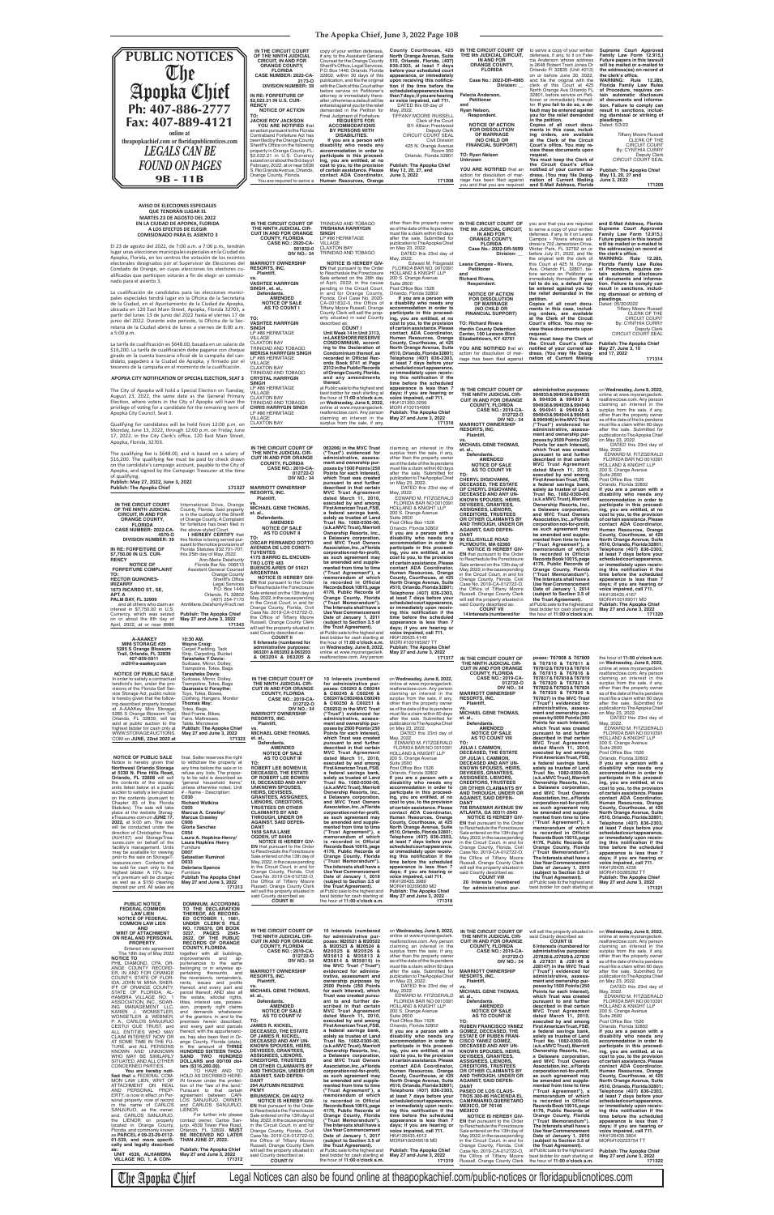## **The Apopka Chief, June 3, 2022 Page 10B**

By: CYNTHIA CURRY Deputy Clerk<br>CIRCUIT COURT SEAL

the Circuit Court's office<br>notified of your current ad-<br>dress. (You may file Desig-<br>nation of Current Mailing **Publish: The Apopka Chief May 27, June 3, 10 and 17, 2022 171314**

Court's office. You may re-<br>view these documents upon

**request.**

**You must keep the Clerk of** 

.m.<br>22, ion<br>:he after the sale. Submitted for publication to The Apopka Chief on May 23, 2022. DATED this May, 2022.<br>| Edward Edward M. Fitzgerald FLORIDA BAR NO. 0010391 HOLLAND & KNIGHT LLP 200 S. Orange Ave Suite 2600<br>Post Office Box 1526 Orlando, Florida 32802  **If you are a person with a disability who needs any ac com modation in order to participate in this proceed-ing, you are entitled, at no cost to you, to the provision of certain assistance. Please contact ADA Coordinator, Human Resourd County, Courthouse, at 425 North Orange Avenue, Suite #510, Orlando, Florida 32801; Telephone (407) 836-2303, at least 7 days before your**  scheduled court or immediately upon receiv-<br>ing this notification if the time before the **appearance is less than 7 days; if you are hearing or voice impaired, call 711.** HK#121350.0256 MORI #100154909 **Publish: The Apopka Chief May 27 and June 3, 2022 171316**

this Court at 425 N. Orange Ave, Orlando FL. 32801, be-fore service on Petitioner or immediately thereafter. **If you fail to do so, a default may be entered against you for the relief demanded in the petition. Copies of all court documents in this case, including orders, are available at the Clerk of the Circuit Florida Family Law Rules of Procedure, requires cer-tain automatic disclosure of documents and informa-tion. Failure to comply can result in sanctions, including dismissal or striking of pleadings.** Dated: 05/20/2022 Tiffany Moore Russell CLERK OF THE CIRCUIT COURT

will sell the property situated in said County described as: **COUNT II 6 Interests (numbered for administrative purposes: 063201 & 063202 & 063203 & 063204 & 063205 & the Trust Agreement).** at Public sale to the highest and best bidder for cash starting at the hour of **11:00 o'clock a.m.** on **Wednesday, June 8, 2022,**<br>online at www.myorangeclerk.<br>realforeclose.com. Any person you and that you are required to serve a copy of your written defenses, if any, to it on Leana Campos - Rivera whose ad-dress is 702 Jamestown Drive, Winter Park, FL 32792 on or before July 21, 2022, and file<br>the original with the clerk of **and E-Mail Address, Florida Supreme Court Approved Family Law Form 12.915.) Future papers in this lawsuit will be mailed or e-mailed to the address(es) on record at**  the clerk's office.<br>WARNING: Rule 12.285, **WARNING: Rule 12.285, Florida Family Law Rules of Procedure, requires certain automatic disclosure of documents and information. Failure to comply can result in sanctions, including dismissal or striking of**  Tiffany Moore Russell CLERK OF THE CIRCUIT COURT By: CYNTHIA CURRY Deputy Clerk CIRCUIT COURT SEAL **171209**

# **A-AAAKEY MINI STORAGE #29 5285 S Orange Blossom Trail, Orlando, FL 32839 407-859-5911 m29@a-aaakey.com**

**10:30 AM. Wayne Craig:** Carpet Padding, Tack Strip, Carpeting, Bucket **Tarasheka Y Davis:**

OF CHERYL DIGIOVANNI,<br>DECEASED AND ANY UN-<br>KNOWN SPOUSES, HEIRS,<br>DEVISEES, GRANTEES, **ASSIGNEES, LIENORS, CREDITORS, TRUSTEES OR OTHER CLAIMANTS BY AND THROUGH, UNDER OR AGAINST, SAID DEFEN-DANT 90 ELLISVILLE ROAD PLYMOUTH, MA 02360 NOTICE IS HEREBY GIV-EN** that pursuant to the Order to Reschedule the Foreclosure Sale entered on the 13th day of May, 2022, in the cause pending in the Circuit Court, in and for Orange County, Florida, Civil Case No. 2019-CA-012722-O, the Office of Tiffany Moore Russell, Orange County Clerk will sell the property situated in said County described as: **COUNT VII 14 Interests (numbered for a Delaware corporation, mented from time to time ("Trust Agreement"), a the Trust Agreement).** at Public sale to the highest and best bidder for cash starting at the hour of **11:00 o'clock a.m.**

| other than the property owner<br>as of the date of the lis pendens<br>must file a claim within 60 days<br>after the sale. Submitted for<br>publication to The Apopka Chief<br>on May 23, 2022.<br>DATED this 23rd day of<br>May, 2022.                                                                                                                     | IN THE CIRCUIT COURT OF<br>THE 9th JUDICIAL CIRCUIT.<br><b>IN AND FOR</b><br><b>ORANGE COUNTY,</b><br><b>FLORIDA</b><br>Case No.: 2022-DR-5699<br><b>Division:</b> |
|------------------------------------------------------------------------------------------------------------------------------------------------------------------------------------------------------------------------------------------------------------------------------------------------------------------------------------------------------------|--------------------------------------------------------------------------------------------------------------------------------------------------------------------|
| Edward M. Fitzgerald<br>FLORIDA BAR NO. 0010391                                                                                                                                                                                                                                                                                                            | Leana Campos - Rivera,<br><b>Petitioner</b>                                                                                                                        |
| <b>HOLLAND &amp; KNIGHT LLP</b><br>200 S. Orange Avenue<br><b>Suite 2600</b><br>Post Office Box 1526                                                                                                                                                                                                                                                       | and<br><b>Richard Rivera,</b><br>Respondent.                                                                                                                       |
| Orlando, Florida 32802<br>If you are a person with<br>a disability who needs any<br>accommodation in order to<br>participate in this proceed-<br>ing, you are entitled, at no                                                                                                                                                                              | <b>NOTICE OF ACTION</b><br><b>FOR DISSOLUTION</b><br><b>OF MARRIAGE</b><br>(NO CHILD OR<br><b>FINANCIAL SUPPORT)</b>                                               |
| cost to you, to the provision<br>of certain assistance. Please<br>contact ADA Coordinator,<br>Human Resources, Orange<br>County, Courthouse, at 425                                                                                                                                                                                                        | <b>TO: Richard Rivera</b><br><b>Hardin County Detention</b><br>Center, 100 Lawson Blvd,<br>Elizabethtown, KY 42701                                                 |
| North Orange Avenue, Suite<br>#510, Orlando, Florida 32801;<br>Telephone (407) 836-2303,                                                                                                                                                                                                                                                                   | YOU ARE NOTIFIED that an<br>action for dissolution of mar-<br>riage has been filed against                                                                         |
| at least 7 days before your<br>scheduled court appearance,<br>or immediately upon receiv-<br>ing this notification if the<br>time before the scheduled<br>appearance is less than 7<br>days; if you are hearing or<br>voice impaired, call 711.<br>HK#121350.0256<br>MORI #100154909<br><b>Publish: The Apopka Chief</b><br>$M = 0.07$ and $M = 0$<br>0000 | IN THE CIRCUIT COURT OF<br>THE NINTH JUDICIAL CIR-<br><b>CUIT IN AND FOR ORANGE</b><br><b>COUNTY, FLORIDA</b><br><b>CASE NO.: 2019-CA-</b><br>012722-0             |

claiming an interest in the surplus from the sale, if any, other than the property owner as of the date of the lis pendens must file a claim within  $60$  days after the sale. Submitted for publication to The Apopka Chief on May 23, 2022. DATED this 23rd day of May, 2022. EDWARD M. FITZGERALD FLORIDA BAR NO 0010391 HOLLAND & KNIGHT LLP 200 S. Orange Avenue Suite 2600<br>Post Office Box 1526 Orlando, Florida 32802 **If you are a person with a disability who needs any accommodation in order to participate in this proceed-ing, you are entitled, at no cost to you, to the provision of certain assistance. Please contact ADA Coordinator, Human Resources, Orange County, Courthouse, at 425**  North Orange Avenue, Suite;<br>#510, Orlando, Florida 32801;<br>Telephone (407) 836-2303,<br>at least 7 days before your<br>scheduled court appearance,<br>or immediately upon receiv-<br>ing this notification if the **time before the scheduled appearance is less than 7 days; if you are hearing or voice impaired, call 711.** HK#126435.4149 MORI #100165927 TT **Publish: The Apopka Chief May 27 and June 3, 2022**

**171317**

| m29@a-aaakey.com                                                     | Suitcase, Mirror, Dolley<br>Trampoline, Totes, Bags                 |                                                                      |                                                                       |                                                                       | THE NINTH JUDICIAL CIR-<br><b>CUIT IN AND FOR ORANGE</b>           | & 15/810 & 15/811 &<br>T67812&T67813&T67814                           | on weanesday, June 8, 2022,<br>online at www.myorangeclerk.           |
|----------------------------------------------------------------------|---------------------------------------------------------------------|----------------------------------------------------------------------|-----------------------------------------------------------------------|-----------------------------------------------------------------------|--------------------------------------------------------------------|-----------------------------------------------------------------------|-----------------------------------------------------------------------|
| <b>NOTICE OF PUBLIC SALE</b>                                         | Tarasheka Davis:                                                    |                                                                      |                                                                       |                                                                       | <b>COUNTY, FLORIDA</b>                                             | & T67815 & T67816 &<br>T67817 & T67818 & T67819                       | realforeclose.com. Any person                                         |
| In order to satisfy a contractual<br>landlord's lien, under the pro- | Suitcase, Mirror, Dolley,<br>Trampoline, Totes, Bags                | IN THE CIRCUIT COURT OF<br>THE NINTH JUDICIAL CIR-                   | 10 Interests (numbered<br>for administrative pur-                     | on Wednesday, June 8, 2022,<br>online at www.myorangeclerk.           | <b>CASE NO.: 2019-CA-</b><br>012722-0                              | & T67820 & T67821 &                                                   | claiming an interest in the<br>surplus from the sale, if any,         |
| visions of the Florida Self Ser-                                     | Quanasia U Forsythe:                                                | <b>CUIT IN AND FOR ORANGE</b>                                        | poses: C60243 & C60244                                                | realforeclose.com. Any person                                         | <b>DIV NO.: 34</b>                                                 | T67822 & T67823 & T67824                                              | other than the property owner                                         |
| vice Storage Act, public notice<br>is hereby given that the follow-  | Toys, Totes, Boxes,<br>Clothing, Hangers, Monitor                   | <b>COUNTY, FLORIDA</b><br><b>CASE NO.: 2019-CA-</b>                  | & C60245 & C60246 &<br>C60247&C60248&C60249                           | claiming an interest in the<br>surplus from the sale, if any,         | <b>MARRIOTT OWNERSHIP</b><br><b>RESORTS, INC.</b>                  | & T67825 & T67826 &<br>T67827) in the MVC Trust                       | as of the date of the lis pendens<br>must file a claim within 60 days |
| ing described property located                                       | Thomas May:                                                         | 012722-0                                                             | & C60250 & C60251 &                                                   | other than the property owner                                         | <b>Plaintiff.</b>                                                  | ("Trust") evidenced for                                               | after the sale. Submitted for                                         |
| at A-AAAKey Mini Storage,<br>5285 S Orange Blossom Trail             | Totes, Bags,<br>Bed Frame, Bikes,                                   | <b>DIV NO.: 34</b><br><b>MARRIOTT OWNERSHIP</b>                      | C60252) in the MVC Trust<br>("Trust") evidenced for                   | as of the date of the lis pendens<br>must file a claim within 60 days | VS.<br><b>MICHAEL GENE THOMAS,</b>                                 | administrative, assess-<br>ment and ownership pur-                    | publication to The Apopka Chief<br>on May 23, 2022.                   |
| Orlando, FL 32839, will be                                           | Fans, Mattresses,                                                   | <b>RESORTS, INC.</b>                                                 | administrative, assess-                                               | after the sale. Submitted for                                         | et. al.                                                            | poses by 5000 Points (250                                             | DATED this 23rd day of                                                |
| sold at public auction to the<br>highest bidder for cash only at     | Table, Microwave<br><b>Publish: The Apopka Chief</b>                | Plaintiff,<br><b>VS</b>                                              | ment and ownership pur-<br>poses by 2500 Points (250                  | publication to The Apopka Chief<br>on May 23, 2022.                   | Defendants.<br><b>AMENDED</b>                                      | Points for each Interest),<br>which Trust was created                 | May, 2022.<br>EDWARD M. FITZGERALD                                    |
| WWW.STORAGEAUCTIONS.                                                 | May 27 and June 3, 2022                                             | <b>MICHAEL GENE THOMAS.</b>                                          | Points for each Interest),                                            | DATED this 23rd day of                                                | <b>NOTICE OF SALE</b>                                              | pursuant to and further                                               | FLORIDA BAR NO 0010391                                                |
| COM on JUNE, 22nd 2022 at                                            | 171323                                                              | et. al.,<br>Defendants.                                              | which Trust was created<br>pursuant to and further                    | May, 2022.<br>EDWARD M. FITZGERALD                                    | <b>AS TO COUNT VIII</b><br>TO:                                     | described in that certain<br><b>MVC Trust Agreement</b>               | <b>HOLLAND &amp; KNIGHT LLP</b><br>200 S. Orange Avenue               |
|                                                                      |                                                                     | <b>AMENDED</b>                                                       | described in that certain                                             | FLORIDA BAR NO 0010391                                                | <b>JULIA I. CAMMON,</b>                                            | dated March 11, 2010,                                                 | <b>Suite 2600</b>                                                     |
| <b>NOTICE OF PUBLIC SALE</b>                                         | final. Seller reserves the right                                    | <b>NOTICE OF SALE</b><br><b>AS TO COUNT III</b>                      | <b>MVC Trust Agreement</b><br>dated March 11, 2010,                   | <b>HOLLAND &amp; KNIGHT LLP</b><br>200 S. Orange Avenue               | <b>DECEASED, THE ESTATE</b><br>OF JULIA I. CAMMON,                 | executed by and among<br>First American Trust, FSB,                   | Post Office Box 1526<br>Orlando, Florida 32802                        |
| Notice is hereby given that                                          | to withdraw the property at                                         | TO:                                                                  | executed by and among                                                 | <b>Suite 2600</b>                                                     | DECEASED AND ANY UN-                                               | a federal savings bank,                                               | If you are a person with a                                            |
| <b>Northwest Orlando Storage</b><br>at 5330 N. Pine Hills Road,      | any time before the sale or to<br>refuse any bids. The proper-      | <b>ROBERT LEE BOWEN III.</b><br>DECEASED, THE ESTATE                 | First American Trust, FSB,<br>a federal savings bank,                 | Post Office Box 1526<br>Orlando, Florida 32802                        | <b>KNOWN SPOUSES, HEIRS,</b><br><b>DEVISEES, GRANTEES,</b>         | solely as trustee of Land<br>Trust No. 1082-0300-00,                  | disability who needs any<br>accommodation in order to                 |
| Orlando, FL 32808 will sell                                          | ty to be sold is described as                                       | OF ROBERT LEE BOWEN                                                  | solely as trustee of Land                                             | If you are a person with a                                            | <b>ASSIGNEES, LIENORS,</b>                                         | (a.k.a MVC Trust), Marriott                                           | participate in this proceed-                                          |
| the contents of the storage<br>units listed below at a public        | "general household items"<br>unless otherwise noted. Unit           | III, DECEASED AND ANY<br>UNKNOWN SPOUSES,                            | Trust No. 1082-0300-00,<br>(a.k.a MVC Trust), Marriott                | disability who needs any<br>accommodation in order to                 | <b>CREDITORS, TRUSTEES</b><br>OR OTHER CLAIMANTS BY                | Ownership Resorts, Inc.,<br>a Delaware corporation,                   | ing, you are entitled, at no<br>cost to you, to the provision         |
| auction to satisfy a lien placed                                     | # - Name - Description:                                             | <b>HEIRS, DEVISEES,</b>                                              | Ownership Resorts, Inc.,                                              | participate in this proceed-                                          | AND THROUGH, UNDER OR                                              | and MVC Trust Owners                                                  | of certain assistance. Please                                         |
| on the contents (pursuant to<br>Chapter 83 of the Florida            | C030<br><b>Richard Watkins</b>                                      | <b>GRANTEES, ASSIGNEES,</b><br>LIENORS, CREDITORS,                   | a Delaware corporation,<br>and MVC Trust Owners                       | ing, you are entitled, at no<br>cost to you, to the provision         | <b>AGAINST, SAID DEFEN-</b><br><b>DANT</b>                         | Association, Inc., a Florida<br>corporation not-for-profit,           | contact ADA Coordinator,<br>Human Resources, Orange                   |
| Statutes). The sale will take                                        | C005                                                                | <b>TRUSTEES OR OTHER</b>                                             | Association, Inc., a Florida                                          | of certain assistance. Please                                         | <b>758 BRAEMAR AVENUE SW</b>                                       | as such agreement may                                                 | County, Courthouse, at 425                                            |
| place at the website Storag-<br>eTreasures.com on JUNE 17,           | Marcus A. Crawley/<br><b>Marcus Crawley</b>                         | <b>CLAIMANTS BY AND</b><br>THROUGH, UNDER OR                         | corporation not-for-profit,<br>as such agreement may                  | contact ADA Coordinator,<br>Human Resources, Orange                   | ATLANTA, GA 30311-2943<br><b>NOTICE IS HEREBY GIV-</b>             | be amended and supple-<br>mented from time to time                    | North Orange Avenue, Suite<br>#510, Orlando, Florida 32801;           |
| 2022, at 9:00 am. The sale                                           | C006                                                                | <b>AGAINST, SAID DEFEN-</b>                                          | be amended and supple-                                                | County, Courthouse, at 425                                            | <b>EN</b> that pursuant to the Order                               | ("Trust Agreement"), a                                                | Telephone (407) 836-2303,                                             |
| will be conducted under the<br>direction of Christopher Rosa         | Gloria Sanchez<br>C054                                              | <b>DANT</b><br><b>1658 SARA LANE</b>                                 | mented from time to time<br>("Trust Agreement"), a                    | North Orange Avenue, Suite<br>#510, Orlando, Florida 32801;           | to Reschedule the Foreclosure<br>Sale entered on the 13th day of   | memorandum of which<br>is recorded in Official                        | at least 7 days before your<br>scheduled court appearance,            |
| (AU4167) and StorageTrea-                                            | Laura A. Hopkins-Henry/                                             | <b>OGDEN, UT 84404</b>                                               | memorandum of which                                                   | Telephone (407) 836-2303,                                             | May, 2022, in the cause pending                                    | Records Book 10015, page                                              | or immediately upon receiv-                                           |
| sures.com on behalf of the                                           | <b>Laura Hopkins Henry</b><br>Furniture                             | <b>NOTICE IS HEREBY GIV-</b><br><b>EN</b> that pursuant to the Order | is recorded in Official<br>Records Book 10015, page                   | at least 7 days before your<br>scheduled court appearance,            | in the Circuit Court, in and for                                   | 4176, Public Records of                                               | ing this notification if the                                          |
| facility's management. Units<br>may be available for viewing         | D007                                                                | to Reschedule the Foreclosure                                        | 4176, Public Records of                                               | or immediately upon receiv-                                           | Orange County, Florida, Civil<br>Case No. 2019-CA-012722-O,        | Orange County, Florida<br>("Trust Memorandum").                       | time before the scheduled<br>appearance is less than 7                |
| prior to the sale on StorageT-                                       | <b>Sebastian Ruminot</b>                                            | Sale entered on the 13th day of<br>May, 2022, in the cause pending   | Orange County, Florida<br>("Trust Memorandum").                       | ing this notification if the<br>time before the scheduled             | the Office of Tiffany Moore                                        | The Interests shall have a                                            | days; if you are hearing or                                           |
| reasures.com. Contents will<br>be sold for cash only to the          | D033<br><b>Debriana Spence</b>                                      | in the Circuit Court, in and for                                     | The Interests shall have a                                            | appearance is less than 7                                             | Russell, Orange County Clerk<br>will sell the property situated in | Use Year Commencement<br>Date of January 1, 2019                      | voice impaired, call 711.<br>HK#126435.4236                           |
| highest bidder. A 10% buy-                                           | Furniture                                                           | Orange County, Florida, Civil<br>Case No. 2019-CA-012722-O,          | <b>Use Year Commencement</b><br>Date of January 1, 2019               | days; if you are hearing or<br>voice impaired, call 711.              | said County described as:                                          | (subject to Section 3.5 of                                            | MORI#100285282 TT                                                     |
| er's premium will be charged<br>as well as a \$150 cleaning          | <b>Publish The Apopka Chief</b><br>May 27 and June 3, 2022          | the Office of Tiffany Moore                                          | (subject to Section 3.5 of                                            | HK#126435.3989                                                        | <b>COUNT VIII</b><br>20 Interests (numbered                        | the Trust Agreement).<br>at Public sale to the highest and            | <b>Publish: The Apopka Chief</b><br>May 27 and June 3, 2022           |
| deposit per unit. All sales are                                      | 171313                                                              | Russell, Orange County Clerk                                         | the Trust Agreement).                                                 | MORI#100209580 MD                                                     | for administrative pur-                                            | best bidder for cash starting at                                      | 171321                                                                |
|                                                                      |                                                                     | will sell the property situated in<br>said County described as:      | at Public sale to the highest and<br>best bidder for cash starting at | <b>Publish: The Apopka Chief</b><br>May 27 and June 3, 2022           |                                                                    |                                                                       |                                                                       |
| PUBLIC NOTICE                                                        | <b>DOMINIUM, ACCORDING</b>                                          | <b>COUNT III</b>                                                     | the hour of 11:00 o'clock a.m.                                        | 171318                                                                |                                                                    |                                                                       |                                                                       |
|                                                                      |                                                                     |                                                                      |                                                                       |                                                                       |                                                                    |                                                                       |                                                                       |
| <b>FEDERAL COMMON</b>                                                | TO THE DECLARATION                                                  |                                                                      |                                                                       |                                                                       |                                                                    |                                                                       |                                                                       |
| <b>LAW LIEN</b><br><b>NOTICE OF FEDERAL</b>                          | THEREOF, AS RECORD-<br>ED OCTOBER 1, 1981,                          |                                                                      |                                                                       |                                                                       |                                                                    |                                                                       |                                                                       |
| <b>COMMON LAW LIEN</b>                                               | UNDER CLERK'S FILE                                                  |                                                                      |                                                                       |                                                                       |                                                                    |                                                                       |                                                                       |
| AND<br><b>WRIT OF ATTACHMENT</b>                                     | NO. 1706370, OR BOOK<br><b>PAGES</b><br>2545-<br>3227.              | IN THE CIRCUIT COURT OF                                              | 10 Interests (numbered                                                | on Wednesday, June 8, 2022,                                           | IN THE CIRCUIT COURT OF                                            | will sell the property situated in                                    | on Wednesday, June 8, 2022,                                           |
| ON REAL AND PERSONAL                                                 | 2622, OF THE PUBLIC                                                 | THE NINTH JUDICIAL CIR-<br><b>CUIT IN AND FOR ORANGE</b>             | for administrative pur-<br>poses: M20521 & M20522                     | online at www.myorangeclerk.                                          | THE NINTH JUDICIAL CIR-                                            | said County described as:<br><b>COUNT IX</b>                          | online at www.myorangeclerk.                                          |
| <b>PROPERTY</b><br>Entered into agreement                            | <b>RECORDS OF ORANGE</b><br><b>COUNTY, FLORIDA.</b>                 | <b>COUNTY, FLORIDA</b>                                               | & M20523 & M20524 &                                                   | realforeclose.com. Any person<br>claiming an interest in the          | <b>CUIT IN AND FOR ORANGE</b><br><b>COUNTY, FLORIDA</b>            | 6 Interests (numbered for                                             | realforeclose.com. Any person<br>claiming an interest in the          |
| The 18th day of May 2022                                             | together with all buildings.                                        | <b>CASE NO.: 2019-CA-</b>                                            | M20525 & M20526 &                                                     | surplus from the sale, if any,                                        | <b>CASE NO.: 2019-CA-</b>                                          | administrative purposes:                                              | surplus from the sale, if any,                                        |
| <b>NOTICE TO</b><br>PHIL DIAMOND, CPA, OR-                           | improvements<br>and<br>ap-<br>purtenances to the same               | 012722-0<br><b>DIV NO.: 34</b>                                       | M35812 & M35813 &<br>M35814 & M35815) in                              | other than the property owner<br>as of the date of the lis pendens    | 012722-0<br><b>DIV NO.: 34</b>                                     | J27828 & J27829 & J27830<br>& J27831 & J28146 &                       | other than the property owner<br>as of the date of the lis pendens    |
| ANGE COUNTY RECORD-                                                  | belonging or in anywise ap-                                         |                                                                      | the MVC Trust ("Trust")                                               | must file a claim within 60 days                                      |                                                                    | J28147) in the MVC Trust                                              | must file a claim within 60 days                                      |
| ER, IN AND FOR ORANGE                                                | pertaining thereunto, and<br>the reversion/s, remainder/s,          | <b>MARRIOTT OWNERSHIP</b><br><b>RESORTS, INC.</b>                    | evidenced for adminis-<br>trative, assessment and                     | after the sale. Submitted for<br>publication to The Apopka Chief      | <b>MARRIOTT OWNERSHIP</b><br><b>RESORTS, INC.</b>                  | ("Trust") evidenced for<br>administrative, assess-                    | after the sale. Submitted for<br>publication to The Apopka Chief      |
| COUNTY; STATE OF FLOR-<br>IDA. JOHN W. MINA. SHER-                   | rents, issues and profits                                           | Plaintiff,                                                           | ownership purposes by                                                 | on May 23, 2022.                                                      | Plaintiff,                                                         | ment and ownership pur-                                               | on May 23, 2022.                                                      |
| IFF OF ORANGE COUNTY.<br>STATE OF FLORIDA. AL-                       | thereof, and every part and<br>parcel thereof; AND also all         | <b>MICHAEL GENE THOMAS,</b>                                          | 2500 Points (250 Points<br>for each Interest), which                  | DATED this 23rd day of<br>May, 2022.                                  | <b>VS</b><br><b>MICHAEL GENE THOMAS,</b>                           | poses by 1500 Points (250<br>Points for each Interest),               | DATED this 23rd day of<br>May, 2022.                                  |
| HAMBRA VILLAGE NO. 1                                                 | the estate, allodial rights,                                        | et. al.,                                                             | Trust was created pursu-                                              | <b>ÉDWARD M. FITZGERALD</b>                                           | et. al.,                                                           | which Trust was created                                               | EDWARD M. FITZGERALD                                                  |
| ASSOCIATION, INC., SOAR-<br>ING MANAGEMENT LLC,                      | titles, interest use, posses-<br>sion,                              | Defendants.<br><b>AMENDED</b>                                        | ant to and further de-<br>scribed in that certain                     | FLORIDA BAR NO 0010391<br><b>HOLLAND &amp; KNIGHT LLP</b>             | Defendants.<br><b>AMENDED</b>                                      | pursuant to and further<br>described in that certain                  | FLORIDA BAR NO 0010391<br><b>HOLLAND &amp; KNIGHT LLP</b>             |
| KAREN J. WONSETLER,                                                  | property right claims<br>and demands whatsoever                     | <b>NOTICE OF SALE</b>                                                | <b>MVC Trust Agreement</b>                                            | 200 S. Orange Avenue                                                  | <b>NOTICE OF SALE</b>                                              | <b>MVC Trust Agreement</b>                                            | 200 S. Orange Avenue                                                  |
| WONSETLER & WEBNER,<br>P. A., CARLOS SANJURJO                        | of the grantors, in and to the<br>premises herein described,        | AS TO COUNT IV<br>TO:                                                | dated March 11, 2010,<br>executed by and among                        | <b>Suite 2600</b><br>Post Office Box 1526                             | <b>AS TO COUNT IX</b><br>TO:                                       | dated March 11, 2010,<br>executed by and among                        | <b>Suite 2600</b><br>Post Office Box 1526                             |
| CESTUI QUE TRUST, and                                                | and every part and parcels                                          | <b>JAMES R. KICKEL,</b>                                              | First American Trust, FSB,                                            | Orlando, Florida 32802                                                | <b>RUBEN FRANCISCO YANEZ</b>                                       | First American Trust, FSB,                                            | Orlando, Florida 32802                                                |
| ALL ENTITIES WHO MAY                                                 | thereof, with the appurtenanc-                                      | DECEASED, THE ESTATE<br>OF JAMES R. KICKEL                           | a federal savings bank,<br>solely as trustee of Land                  | If you are a person with a<br>disability who needs any                | GOMEZ, DECEASED, THE<br><b>ESTATE OF RUBEN FRAN-</b>               | a federal savings bank,<br>solely as trustee of Land                  | If you are a person with a<br>disability who needs any                |
| CLAIM INTEREST NOW OR<br>AT SOME TIME IN THE FU-                     | es, has also been filed in Or-<br>ange County, Florida (state),     | DECEASED AND ANY UN-                                                 | Trust No. 1082-0300-00,                                               | accommodation in order to                                             | <b>CISCO YANEZ GOMEZ,</b>                                          | Trust No. 1082-0300-00,                                               | accommodation in order to                                             |
| TURE, and ALL PERSONS                                                |                                                                     | <b>KNOWN SPOUSES, HEIRS,</b><br><b>DEVISEES, GRANTEES,</b>           | (a.k.a MVC Trust), Marriott<br>Ownership Resorts, Inc.,               | participate in this proceed-<br>ing, you are entitled, at no          | DECEASED AND ANY UN-<br><b>KNOWN SPOUSES, HEIRS,</b>               | (a.k.a MVC Trust), Marriott<br>Ownership Resorts, Inc.,               | participate in this proceed-                                          |
| KNOWN AND UNKNOWN<br>WHO MAY BE SIMILARLY                            | in the amount of THREE<br>HUNDRED SIXTEEN THOU-<br>SAND TWO HUNDRED | <b>ASSIGNEES, LIENORS,</b>                                           | a Delaware corporation,                                               | cost to you, to the provision                                         | <b>DEVISEES, GRANTEES,</b>                                         | a Delaware corporation,                                               | ing, you are entitled, at no<br>cost to you, to the provision         |
| SITUATED, AND ALL OTHER<br>CONCERNED PARTIES,                        | DOLLARS and 00/100 dol-<br>lars (\$316,200.00).                     | <b>CREDITORS, TRUSTEES</b><br>OR OTHER CLAIMANTS BY                  | and MVC Trust Owners<br>Association, Inc., a Florida                  | of certain assistance. Please<br>contact ADA Coordinator,             | <b>ASSIGNEES, LIENORS.</b><br><b>CREDITORS, TRUSTEES</b>           | and MVC Trust Owners<br>Association, Inc., a Florida                  | of certain assistance. Please<br>contact ADA Coordinator,             |
| You are hereby noti-                                                 | TO HAVE AND TO                                                      | AND THROUGH, UNDER OR                                                | corporation not-for-profit,                                           | Human Resources, Orange                                               | OR OTHER CLAIMANTS BY                                              | corporation not-for-profit,                                           | Human Resources, Orange                                               |
| fied that a FEDERAL COM-<br>MON LAW LIEN, WRIT OF                    | HOLD AS DECRIBED HERE-<br>IN forever under the protec-              | <b>AGAINST, SAID DEFEN-</b><br><b>DANT</b>                           | as such agreement may<br>be amended and supple-                       | County, Courthouse, at 425<br>North Orange Avenue, Suite              | AND THROUGH, UNDER OR<br><b>AGAINST, SAID DEFEN-</b>               | as such agreement may<br>be amended and supple-                       | County, Courthouse, at 425                                            |
| ATTACHMENT ON REAL                                                   | tion of the "law of the land."                                      | <b>294 AUTUMN RESERVE</b>                                            | mented from time to time                                              | #510, Orlando, Florida 32801;                                         | <b>DANT</b>                                                        | mented from time to time                                              | North Orange Avenue, Suite<br>#510, Orlando, Florida 32801;           |
| AND PERSONAL PROP-<br>ERTY, is now in effect on Per-                 | Pursuant to that certain                                            | <b>PKWY</b>                                                          | ("Trust Agreement"), a                                                | Telephone (407) 836-2303,                                             | PASEO DE LOS CLAUS-                                                | ("Trust Agreement"), a                                                | Telephone (407) 836-2303.                                             |
| sonal property, now of record                                        | agreement between CAR-<br>LOS SANJURJO, OWNER,                      | <b>BRUNSWICK, OH 44212</b><br><b>NOTICE IS HEREBY GIV-</b>           | memorandum of which<br>is recorded in Official                        | at least 7 days before your<br>scheduled court appearance,            | <b>TROS 300-86 HACIENDA EL</b><br>CAMPANARIO, QUERETARO            | memorandum of which<br>is recorded in Official                        | at least 7 days before your<br>scheduled court appearance,            |
| in the name of CARLOS                                                | and CARLOS SANJURJO,<br>LIENOR.                                     | <b>EN</b> that pursuant to the Order                                 | Records Book 10015, page                                              | or immediately upon receiv-                                           | <b>MEXICO, DF 76146</b>                                            | Records Book 10015, page                                              | or immediately upon receiv-                                           |
| SANJURJO, as the owner,<br>and, CARLOS SANJURJO,                     | For further info please                                             | to Reschedule the Foreclosure<br>Sale entered on the 13th day of     | 4176, Public Records of<br>Orange County, Florida                     | ing this notification if the<br>time before the scheduled             | <b>MEXICO</b><br><b>NOTICE IS HEREBY GIV-</b>                      | 4176, Public Records of<br>Orange County, Florida                     | ing this notification if the<br>time before the scheduled             |
| the LIENOR on property                                               | contact owner, Carlos San-<br>jurjo, 4539 Tower Pine Road,          | May, 2022, in the cause pending                                      | ("Trust Memorandum").                                                 | appearance is less than 7                                             | <b>EN</b> that pursuant to the Order                               | ("Trust Memorandum").                                                 | appearance is less than 7                                             |
| located in Orange County,<br>Florida, and commonly known             | Orlando, FL 32839. MUST                                             | in the Circuit Court, in and for<br>Orange County, Florida, Civil    | The Interests shall have a<br>Use Year Commencement                   | days; if you are hearing or<br>voice impaired, call 711.              | to Reschedule the Foreclosure<br>Sale entered on the 13th day of   | The Interests shall have a<br>Use Year Commencement                   | days; if you are hearing or<br>voice impaired, call 711.              |
| as PARCEL # 09-23-29-0112-                                           | BE RECEIVED NO LATER                                                | Case No. 2019-CA-012722-O,                                           | Date of January 1, 2017                                               | HK#126435.4012                                                        | May, 2022, in the cause pending                                    | Date of January 1, 2016                                               | HK#126435.3804                                                        |
| 01-539, and more specifi-<br>cally and legally described             | <b>THAN JUNE 27, 2022.</b>                                          | the Office of Tiffany Moore<br>Russell, Orange County Clerk          | (subject to Section 3.5 of<br>the Trust Agreement).                   | MORI#100249518 MD                                                     | in the Circuit Court, in and for<br>Orange County, Florida, Civil  | (subject to Section 3.5 of<br>the Trust Agreement).                   | MORI#100233754 TT                                                     |
| UNIT 4539, ALHAMBRA                                                  | <b>Publish: The Apopka Chief</b><br>May 27 and June 3, 2022         | will sell the property situated in<br>said County described as:      | at Public sale to the highest and<br>best bidder for cash starting at | <b>Publish: The Apopka Chief</b><br>May 27 and June 3, 2022           | Case No. 2019-CA-012722-O,<br>the Office of Tiffany Moore          | at Public sale to the highest and<br>best bidder for cash starting at | <b>Publish: The Apopka Chief</b><br>May 27 and June 3, 2022           |

The Apopka Chief Legal Notices can also be found online at theapopkachief.com/public-notices or floridapublicnotices.com

La cualificación de candidatos para las elecciones municipales especiales tendrá lugar en la Oficina de la Secretaria<br>de la Ciudad, en el Ayuntamiento de la Ciudad de Apopka, ubicada en 120 East Main Street, Apopka, Florida 32703, a<br>partir del lunes 13 de junio del 2022 hasta el viernes 17 de junio del 2022. Durante este periodo, la Oficina de la Sec-<br>retaria de la Ciudad abrirá de lunes a viernes de 8:00 a.m. a 5:00 p.m.

La tarifa de cualificación es \$648.00, basada en un salario de<br>\$16,200. La tarifa de cualificación debe pagarse con cheque girado en la cuenta bancaria oficial de la campaña del candidato, pagadero a la Ciudad de Apopka, y firmado por el tesorero de la campaña en el momento de la cualificación

The City of Apopka will hold a Special Election on Tuesday August 23, 2022, the same date as the General Primar Election, where voters in the City of Apopka will have the privilege of voting for a candidate for the remaining term of Apopka City Council, Seat 3.

| <b>PUBLIC NOTICES</b>                          | IN THE CIRCUIT COURT                                                 | copy of your written defenses,                                           | County Courthouse, 425                                     | IN THE CIRCUIT COURT OF<br>THE 9th JUDICIAL CIRCUIT,           | to serve a copy of your written<br>defenses, if any, to it on Fele- | Supreme Court Approved                                    |
|------------------------------------------------|----------------------------------------------------------------------|--------------------------------------------------------------------------|------------------------------------------------------------|----------------------------------------------------------------|---------------------------------------------------------------------|-----------------------------------------------------------|
|                                                | OF THE NINTH JUDICIAL<br><b>CIRCUIT, IN AND FOR</b>                  | if any, to the Assistant General                                         | North Orange Avenue, Suite<br>510, Orlando, Florida, (407) | IN AND FOR                                                     | cia Anderson whose address                                          | Family Law Form 12.915.)<br>Future papers in this lawsuit |
|                                                | <b>ORANGE COUNTY,</b>                                                | Counsel for the Orange County<br>Sheriff's Office, Legal Services,       | 836-2303, at least 7 days                                  | <b>ORANGE COUNTY,</b>                                          | is 2648 Robert Trent Jones Dr                                       | will be mailed or e-mailed to                             |
|                                                | <b>FLORIDA</b>                                                       | P.O. Box 1440, Orlando, Florida                                          | before your scheduled court                                | <b>FLORIDA</b>                                                 | Orlando FI 32835 (Unit #213)                                        | the address(es) on record at                              |
| $\mathbb{C}$ he                                | <b>CASE NUMBER: 2022-CA-</b>                                         | 32802, within 30 days of this                                            | appearance, or immediately                                 |                                                                | on or before June 30, 2022.                                         | the clerk's office.                                       |
|                                                | 2173-0                                                               | publication, and file the original                                       | upon receiving this notifica-                              | Case No.: 2022-DR-4985                                         | and file the original with the                                      | WARNING: Rule<br>12.285.                                  |
|                                                | <b>DIVISION NUMBER: 39</b>                                           | with the Clerk of this Court either                                      | tion if the time before the                                | Division:                                                      | clerk of this Court at 425                                          | Florida Family Law Rules                                  |
| Apopka Chief                                   |                                                                      | before service on Petitioner's                                           | scheduled appearance is less                               | Felecia Anderson.                                              | North Orange Ave Orlando FL                                         | of Procedure, requires cer-<br>tain automatic disclosure  |
|                                                | IN RE: FORFEITURE OF                                                 | attorney or immediately there-                                           | than 7 days; if you are hearing                            | Petitioner                                                     | 32801, before service on Peti-<br>tioner or immediately thereaf-    | of documents and informa-                                 |
|                                                | \$2,022.21 IN U.S. CUR-<br><b>RENCY</b>                              | after; otherwise a default will be<br>entered against you for the relief | or voice impaired, call 711.<br>DATED this 06 day of       | and                                                            | ter. If you fail to do so, a de-                                    | tion. Failure to comply can                               |
| Ph: 407-886-2777                               | <b>NOTICE OF ACTION</b>                                              | demanded in the Petition for                                             | May, 2022.                                                 | Ryan Nelson,                                                   | fault may be entered against                                        | result in sanctions, includ-                              |
|                                                | TO:                                                                  | Final Judgment of Forfeiture.                                            | <b>TIFFANY MOORE RUSSELL</b>                               | Respondent.                                                    | you for the relief demanded                                         | ing dismissal or striking of                              |
| Fax: 407-889-4121                              | <b>JACKIE ROY JACKSON</b>                                            | <b>REQUESTS FOR</b>                                                      | Clerk of the Court                                         |                                                                | in the petition.                                                    | pleadings.                                                |
|                                                | <b>YOU ARE NOTIFIED that</b>                                         | <b>ACCOMMODATIONS</b>                                                    | BY: Allison Prestwood                                      | <b>NOTICE OF ACTION</b>                                        | Copies of all court docu-                                           | Dated: 5/3/22                                             |
| online at                                      | an action pursuant to the Florida                                    | <b>BY PERSONS WITH</b>                                                   | Deputy Clerk                                               | <b>FOR DISSOLUTION</b>                                         | ments in this case, includ-                                         |                                                           |
|                                                | Contraband Forfeiture Act has                                        | <b>DISABILITIES.</b>                                                     | <b>CIRCUIT COURT SEAL</b><br>Civil Division                | <b>OF MARRIAGE</b><br>(NO CHILD OR                             | ing orders, are available<br>at the Clerk of the Circuit            | <b>Tiffany Moore Russell</b><br><b>CLERK OF THE</b>       |
| theapopkachief.com or floridapublicnotices.com | been filed by the Orange County<br>Sheriff's Office on the following | If you are a person with<br>disability who needs any                     | 425 N. Orange Avenue                                       | <b>FINANCIAL SUPPORT)</b>                                      | Court's office. You may re-                                         | <b>CIRCUIT COURT</b>                                      |
| <b>LEGALS CAN BE</b>                           | property in Orange County, FL:                                       | accommodation in order to                                                | Room 350                                                   |                                                                | view these documents upon                                           | <b>By: CYNTHIA CURRY</b>                                  |
|                                                | \$2,022.21 in U.S. Currency                                          | participate in this proceed-                                             | Orlando, Florida 32801                                     | TO: Ryan Nelson                                                | reauest.                                                            | Deputy Clerk                                              |
|                                                | seized on or about the 3rd day of                                    | ing, you are entitled, at no                                             |                                                            | Unknown                                                        | You must keep the Clerk of                                          | <b>CIRCUIT COURT SEAL</b>                                 |
| <b>FOUND ON PAGES</b>                          | February, 2022, at or near 5636                                      | cost to you, to the provision                                            | <b>Publish: The Apopka Chief</b>                           |                                                                | the Circuit Court's office                                          |                                                           |
|                                                | S. Rio Grande Avenue, Orlando,                                       | of certain assistance. Please                                            | May 13, 20, 27, and                                        | YOU ARE NOTIFIED that an                                       | notified of your current ad-                                        | Publish: The Apopka Chief                                 |
| <b>9B-11B</b>                                  | Orange County, Florida.                                              | contact ADA Coordinator,                                                 | June 3, 2022                                               | action for dissolution of mar-<br>riage has been filed against | dress. (You may file Desig-<br>nation of Current Mailing            | May 13, 20, 27 and<br>June 3, 2022                        |
|                                                | You are required to serve a                                          | Human Resources, Orange                                                  | 171208                                                     | you and that you are required                                  | and E-Mail Address, Florida                                         | 171209                                                    |
|                                                |                                                                      |                                                                          |                                                            |                                                                |                                                                     |                                                           |

**012722-O DIV NO.: 34 MARRIOTT OWNERSHIP RESORTS, INC. Plaintiff, vs. MICHAEL GENE THOMAS, et. al., Defendants. AMENDED NOTICE OF SALE AS TO COUNT VII TO: CHERYL DIGIOVANNI, DECEASED, THE ESTATE** 

| ORIDA                                         | IN THE CIRCUIT COURT OF<br>THE NINTH JUDICIAL CIR-                 | TRINIDAD AND TOBAGO<br>TRISHANA HARRYGIN                           |
|-----------------------------------------------|--------------------------------------------------------------------|--------------------------------------------------------------------|
| R<br>NTO 3                                    | <b>CUIT IN AND FOR ORANGE</b>                                      | <b>SINGH</b>                                                       |
|                                               | <b>COUNTY, FLORIDA</b><br><b>CASE NO.: 2020-CA-</b>                | LP #86 HERMITAGE<br>VILLAGE                                        |
| ':00 p.m., tendrán                            | 001832-0                                                           | <b>CLAXTON BAY</b>                                                 |
| es en la Ciudad de<br>ón de los recintos      | <b>DIV NO.: 34</b>                                                 | TRINIDAD AND TOBAGO                                                |
| de Elecciones del                             | <b>MARRIOTT OWNERSHIP</b>                                          | <b>NOTICE IS HEREBY GIV-</b>                                       |
| los electores cu-                             | <b>RESORTS, INC.</b>                                               | <b>EN</b> that pursuant to the Order                               |
| elegir un comisio-                            | Plaintiff,<br>VS.                                                  | to Reschedule the Foreclosure<br>Sale entered on the 26th day      |
|                                               | <b>VASHTEE HARRYGIN</b>                                            | of April, 2022, in the cause                                       |
| lecciones munici-                             | SINGH , et. al.,<br>Defendants.                                    | pending in the Circuit Court,<br>in and for Orange County,         |
| a de la Secretaria                            | <b>AMENDED</b>                                                     | Florida, Civil Case No. 2020-                                      |
| iudad de Apopka,<br>, Florida 32703, a        | <b>NOTICE OF SALE</b><br><b>AS TO COUNT I</b>                      | CA-001832-0, the Office of<br>Tiffany Moore Russell, Orange        |
| a el viernes 17 de                            |                                                                    | County Clerk will sell the prop-                                   |
| Oficina de la Sec-                            | TO:<br><b>VASHTEE HARRYGIN</b>                                     | erty situated in said County<br>described as:                      |
| rnes de 8:00 a.m.                             | <b>SINGH</b>                                                       | <b>COUNT I</b>                                                     |
|                                               | LP #86 HERMITAGE<br>VILLAGE                                        | Unit Week 14 in Unit 3113,<br>in LAKESHORE RESERVE                 |
| la en un salario de                           | <b>CLAXTON BAY</b>                                                 | CONDOMINIUM, accord-                                               |
| garse con cheque                              | TRINIDAD AND TOBAGO<br><b>MERISA HARRYGIN SINGH</b>                | ing to the Declaration of<br>Condominium thereof, as               |
| campaña del can-                              | LP #86 HERMITAGE                                                   | recorded in Official Rec-                                          |
| y firmado por el<br>la cualificación.         | VILLAGE<br><b>CLAXTON BAY</b>                                      | ords Book 9741 at Page<br>2312 in the Public Records               |
|                                               | TRINIDAD AND TOBAGO                                                | of Orange County, Florida,                                         |
| <b>ELECTION, SEAT 3</b>                       | <b>CRYSTAL HARRYGIN</b><br><b>SINGH</b>                            | and any amendments<br>thereof.                                     |
| ction on Tuesday,                             | LP #86 HERMITAGE                                                   | at Public sale to the highest and                                  |
| General Primary                               | VILLAGE<br><b>CLAXTON BAY</b>                                      | best bidder for cash starting at<br>the hour of 11:00 o'clock a.m. |
| pka will have the                             | TRINIDAD AND TOBAGO                                                | on <b>Wednesday, June 8, 2022,</b>                                 |
| remaining term of                             | CHRIS HARRYGIN SINGH                                               | online at www.myorangeclerk.                                       |
|                                               | LP #86 HERMITAGE<br><b>VILLAGE</b>                                 | realforeclose.com. Any person<br>claiming an interest in the       |
| om 12:00 p.m. on                              | <b>CLAXTON BAY</b>                                                 | surplus from the sale, if any,                                     |
| n. on Friday, June                            |                                                                    |                                                                    |
| East Main Street,                             |                                                                    |                                                                    |
|                                               | IN THE CIRCUIT COURT OF                                            | 063206) in the MVC Trust                                           |
| ed on a salary of                             | THE NINTH JUDICIAL CIR-<br><b>CUIT IN AND FOR ORANGE</b>           | ("Trust") evidenced for<br>administrative, assess-                 |
| d by check drawn<br>able to the City of       | <b>COUNTY, FLORIDA</b>                                             | ment and ownership pur-                                            |
| asurer at the time                            | <b>CASE NO.: 2019-CA-</b><br>012722-0                              | poses by 1500 Points (250                                          |
|                                               | <b>DIV NO.: 34</b>                                                 | Points for each Interest),<br>which Trust was created              |
| 171327                                        | <b>MARRIOTT OWNERSHIP</b>                                          | pursuant to and further<br>described in that certain               |
|                                               | <b>RESORTS, INC.</b>                                               | <b>MVC Trust Agreement</b>                                         |
|                                               | Plaintiff,<br>VS.                                                  | dated March 11, 2010,<br>executed by and among                     |
| al Drive, Orange<br>rida. Said property       | <b>MICHAEL GENE THOMAS,</b>                                        | First American Trust, FSB,                                         |
| stody of the Sheriff                          | et. al.,<br>Defendants.                                            | a federal savings bank,                                            |
| ounty. A Complaint<br>e has been filed in     | <b>AMENDED</b>                                                     | solely as trustee of Land<br>Trust No. 1082-0300-00,               |
| tyled Court.                                  | <b>NOTICE OF SALE</b><br><b>AS TO COUNT II</b>                     | (a.k.a MVC Trust), Marriott<br>Ownership Resorts, Inc.,            |
| <b>BY CERTIFY that</b><br>s being served pur- | TO:                                                                | a Delaware corporation,                                            |
| notice provisions of                          | OSCAR FERNANDO DOTTO<br><b>AVENIDA DE LOS CONSTI-</b>              | and MVC Trust Owners                                               |
| utes 932.701-707,<br>y of May, 2022.          | <b>TUYENTES</b>                                                    | Association, Inc., a Florida<br>corporation not-for-profit,        |
| n-Marie Delahunty                             | <b>4175 BARRIO EL ENCUEN-</b>                                      | as such agreement may                                              |
| da Bar No. 006513<br>it General Counsel       | <b>TRO LOTE 483</b><br><b>BUENOS AIRES OF 01621</b>                | be amended and supple-<br>mented from time to time                 |
| Orange County                                 | <b>ARGENTINA</b><br><b>NOTICE IS HEREBY GIV-</b>                   | ("Trust Agreement"), a                                             |
| Sheriff's Office<br><b>Legal Services</b>     | <b>EN</b> that pursuant to the Order                               | memorandum of which<br>is recorded in Official                     |
| P.O. Box 1440                                 | to Reschedule the Foreclosure                                      | Records Book 10015, page                                           |
| Orlando, FL 32802<br>(407) 254-7170           | Sale entered on the 13th day of<br>May, 2022, in the cause pending | 4176, Public Records of<br>Orange County, Florida                  |
| )elahunty@ocfl.net                            | in the Circuit Court, in and for                                   | ("Trust Memorandum").                                              |
| าe Apopka Chief                               | Orange County, Florida, Civil<br>Case No. 2019-CA-012722-O,        | The Interests shall have a<br>Use Year Commencement                |
| l June 3, 2022                                | the Office of Tiffany Moore                                        | Date of January 1, 2011                                            |
| 171343                                        | Russell, Orange County Clerk                                       | (subject to Section 3.5 of<br>the Trust Agreement).                |
|                                               | will sell the property situated in                                 |                                                                    |

**administrative purposes: 994933 & 994934 & 994935 & 994936 & 994937 & 994938 & 994939 & 994940 & 994941 & 994942 & 994943 & 994944 & 994945 & 994946) in the MVC Trust ("Trust") evidenced for administrative, assess-ment and ownership pur-poses by 3500 Points (250 Points for each Interest), which Trust was created pursuant to and further described in that certain MVC Trust Agreement dated March 11, 2010, executed by and among**  on **Wednesday, June 8, 2022,**<br>
online at www.myorangeclerk.<br>
realforeclose.com. Any person<br>
claiming an interest in the<br>
surplus from the sale, if any, other than the property owner as of the date of the lis pendens must file a claim within 60 days<br>after the sale. Submitted for<br>publication to The Apopka Chief on May 23, 2022. DATED this 23rd day of May, 2022. EDWARD M. FITZGERALD FLORIDA BAR NO 0010391 HOLLAND & KNIGHT LLP 200 S. Orange Avenue Suite 2600

**First American Trust, FSB, a federal savings bank, solely as trustee of Land Trust No. 1082-0300-00, (a.k.a MVC Trust), Marriott Ownership Resorts, Inc., and MVC Trust Owners Association, Inc., a Florida corporation not-for-profi t, as such agreement may be amended and supplememorandum of which is recorded in Official Records Book 10015, page 4176, Public Records of Orange County, Florida ("Trust Memorandum"). The Interests shall have a Use Year Commencement Date of January 1, 2014 (subject to Section 3.5 of**  Post Office Box 1526 Orlando, Florida 32802 **If you are a person with a disability who needs any accommodation in order to participate in this proceeding, you are entitled, at no cost to you, to the provision of certain assistance. Please contact ADA Coordinator, Human Resources, Orange County, Courthouse, at 425 North Orange Avenue, Suite #510, Orlando, Florida 32801; Telephone (407) 836-2303, at least 7 days before your**  scheduled court appearance,<br>or immediately upon receiving this notification if the<br>time before the scheduled<br>appearance is less than 7<br>days; if you are hearing or<br>voice impaired, call 711.<br>HK#126435.4167 MORI#100199011 MD **Publish: The Apopka Chief May 27 and June 3, 2022**

**171320**

**IN THE CIRCUIT COURT OF THE NINTH JUDICIAL CIR-CUIT IN AND FOR ORANGE COUNTY, FLORIDA CASE NO.: 2019-CA-** **poses: T67808 & T67809 & T67810 & T67811 & T67812 & T67813 & T67814 & T67815 & T67816 & T67817 & T67818 & T67819**  the hour of **11:00 o'clock a.m.** on **Wednesday, June 8, 2022,**  online at www.myorangeclerk. realforeclose.com. Any person claiming an interest in the

### **AVISO DE ELECCIONES ESPECIALES QUE TENDRÁN LUGAR EL MARTES 23 DE AGOSTO DEL 2022 EN LA CIUDAD DE APOPKA, FLORIDA A LOS EFECTOS DE ELEGIR COMISIONADO PARA EL ASIENTO 3**

El 23 de agosto del 2022, de 7:00 a.m. a 7:00 p.m., tendrán lugar unas elecciones municipales especiales en la Ciudad de Apopka, Florida, en los centros the votación de los recintos electorales designados por el Supervisor de Elecciones del Condado de Orange, en cuyas elecciones los electores cualificados que participen votarán a fin de elegir un comisionado para el asiento 3.

### **APOPKA CITY NOTIFICATION OF SPECIAL ELECTION, SEAT 3**

Qualifying for candidates will be held from 12:00 p.m. on Monday, June 13, 2022, through 12:00 p.m. on Friday, June 17, 2022, in the City Clerk's office, 120 East Main Street, Apopka, Florida, 32703.

| The qualifying fee is \$648.00, and is based on a salary of |
|-------------------------------------------------------------|
| \$16,200. The qualifying fee must be paid by check drawn    |
| on the candidate's campaign account, payable to the City of |
| Apopka, and signed by the Campaign Treasurer at the time    |
| of qualifving.                                              |
| Publish: May 27, 2022, June 3, 2022                         |
| Publish: The Apopka Chief<br>171327                         |

**TO: HECTOR QUINONES-IRIZARRY 1673 RICARDO ST., SE,** 

**APT. A PALM BAY, FL 32909**

| IN THE CIRCUIT COURT<br>OF THE NINTH JUDICIAL<br><b>CIRCUIT. IN AND FOR</b><br><b>ORANGE COUNTY.</b><br><b>FLORIDA</b><br><b>CASE NUMBER: 2022-CA-</b><br>4570-Q<br><b>DIVISION NUMBER: 39</b><br>IN RE: FORFEITURE OF<br>\$7,750.00 IN U.S. CUR-<br><b>RENCY</b><br><b>NOTICE OF</b> | International Drive, Orange<br>County, Florida. Said property<br>is in the custody of the Sheriff<br>of Orange County. A Complaint<br>for forfeiture has been filed in<br>the above-styled Court.<br>I HEREBY CERTIFY that<br>this Notice is being served pur-<br>suant to the notice provisions of<br>Florida Statutes 932.701-707,<br>this 25th day of May, 2022.<br>Ann-Marie Delahunty<br>Florida Bar No. 006513 |
|---------------------------------------------------------------------------------------------------------------------------------------------------------------------------------------------------------------------------------------------------------------------------------------|----------------------------------------------------------------------------------------------------------------------------------------------------------------------------------------------------------------------------------------------------------------------------------------------------------------------------------------------------------------------------------------------------------------------|
| <b>FORFEITURE COMPLAINT</b>                                                                                                                                                                                                                                                           | Assistant General Counsel                                                                                                                                                                                                                                                                                                                                                                                            |
| TO:                                                                                                                                                                                                                                                                                   | Orange County                                                                                                                                                                                                                                                                                                                                                                                                        |
| <b>HECTOR QUINONES-</b>                                                                                                                                                                                                                                                               | Sheriff's Office                                                                                                                                                                                                                                                                                                                                                                                                     |
| IRIZARRY                                                                                                                                                                                                                                                                              | <b>Legal Services</b>                                                                                                                                                                                                                                                                                                                                                                                                |
|                                                                                                                                                                                                                                                                                       |                                                                                                                                                                                                                                                                                                                                                                                                                      |

 and all others who claim an interest in \$7,750.00 in U.S. Currency, which was seized on or about the 8th day of April, 2022, at or near 8986 AnnMarie.Delahunty@ocfl.ne **Publish: The Apopka Chief May 27 and June 3, 2022 171343**